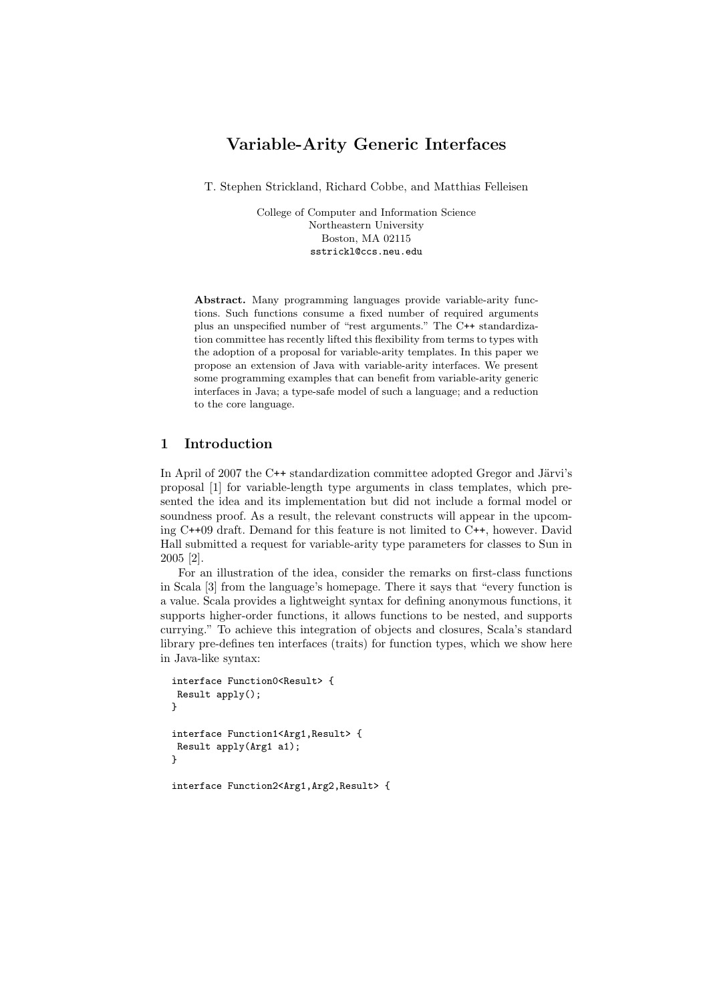# Variable-Arity Generic Interfaces

T. Stephen Strickland, Richard Cobbe, and Matthias Felleisen

College of Computer and Information Science Northeastern University Boston, MA 02115 sstrickl@ccs.neu.edu

Abstract. Many programming languages provide variable-arity functions. Such functions consume a fixed number of required arguments plus an unspecified number of "rest arguments." The C++ standardization committee has recently lifted this flexibility from terms to types with the adoption of a proposal for variable-arity templates. In this paper we propose an extension of Java with variable-arity interfaces. We present some programming examples that can benefit from variable-arity generic interfaces in Java; a type-safe model of such a language; and a reduction to the core language.

### 1 Introduction

In April of 2007 the C++ standardization committee adopted Gregor and Järvi's proposal [1] for variable-length type arguments in class templates, which presented the idea and its implementation but did not include a formal model or soundness proof. As a result, the relevant constructs will appear in the upcoming C++09 draft. Demand for this feature is not limited to C++, however. David Hall submitted a request for variable-arity type parameters for classes to Sun in 2005 [2].

For an illustration of the idea, consider the remarks on first-class functions in Scala [3] from the language's homepage. There it says that "every function is a value. Scala provides a lightweight syntax for defining anonymous functions, it supports higher-order functions, it allows functions to be nested, and supports currying." To achieve this integration of objects and closures, Scala's standard library pre-defines ten interfaces (traits) for function types, which we show here in Java-like syntax:

```
interface Function0<Result> {
 Result apply();
}
interface Function1<Arg1,Result> {
Result apply(Arg1 a1);
}
interface Function2<Arg1,Arg2,Result> {
```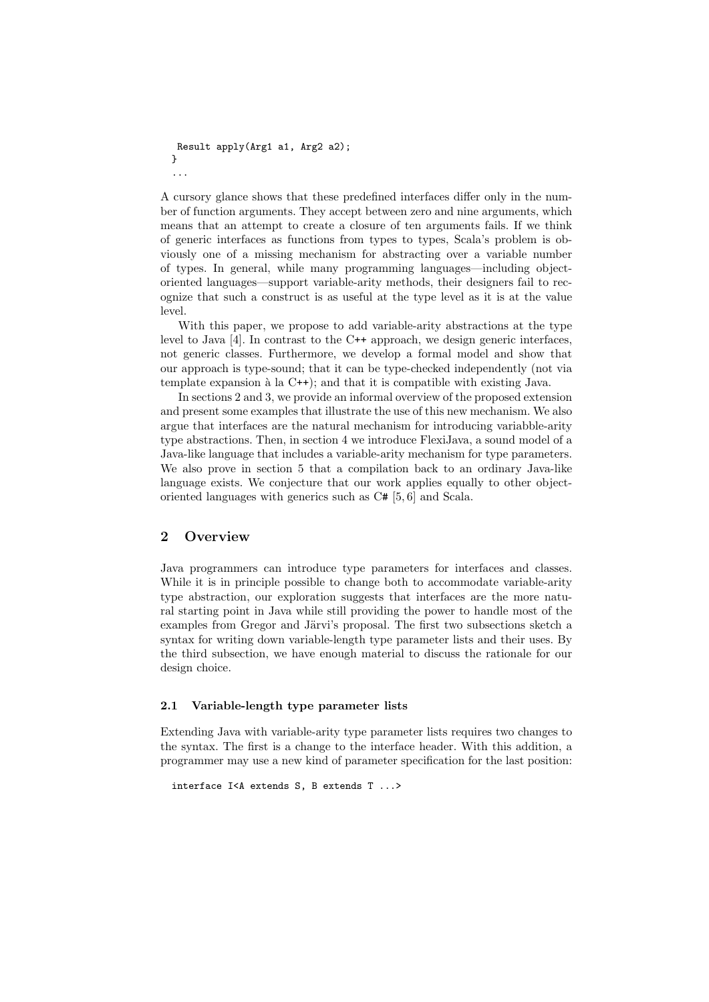```
Result apply(Arg1 a1, Arg2 a2);
}
...
```
A cursory glance shows that these predefined interfaces differ only in the number of function arguments. They accept between zero and nine arguments, which means that an attempt to create a closure of ten arguments fails. If we think of generic interfaces as functions from types to types, Scala's problem is obviously one of a missing mechanism for abstracting over a variable number of types. In general, while many programming languages—including objectoriented languages—support variable-arity methods, their designers fail to recognize that such a construct is as useful at the type level as it is at the value level.

With this paper, we propose to add variable-arity abstractions at the type level to Java [4]. In contrast to the C++ approach, we design generic interfaces, not generic classes. Furthermore, we develop a formal model and show that our approach is type-sound; that it can be type-checked independently (not via template expansion à la  $C^{++}$ ); and that it is compatible with existing Java.

In sections 2 and 3, we provide an informal overview of the proposed extension and present some examples that illustrate the use of this new mechanism. We also argue that interfaces are the natural mechanism for introducing variabble-arity type abstractions. Then, in section 4 we introduce FlexiJava, a sound model of a Java-like language that includes a variable-arity mechanism for type parameters. We also prove in section 5 that a compilation back to an ordinary Java-like language exists. We conjecture that our work applies equally to other objectoriented languages with generics such as C# [5, 6] and Scala.

### 2 Overview

Java programmers can introduce type parameters for interfaces and classes. While it is in principle possible to change both to accommodate variable-arity type abstraction, our exploration suggests that interfaces are the more natural starting point in Java while still providing the power to handle most of the examples from Gregor and Järvi's proposal. The first two subsections sketch a syntax for writing down variable-length type parameter lists and their uses. By the third subsection, we have enough material to discuss the rationale for our design choice.

#### 2.1 Variable-length type parameter lists

Extending Java with variable-arity type parameter lists requires two changes to the syntax. The first is a change to the interface header. With this addition, a programmer may use a new kind of parameter specification for the last position:

```
interface I<A extends S, B extends T ...>
```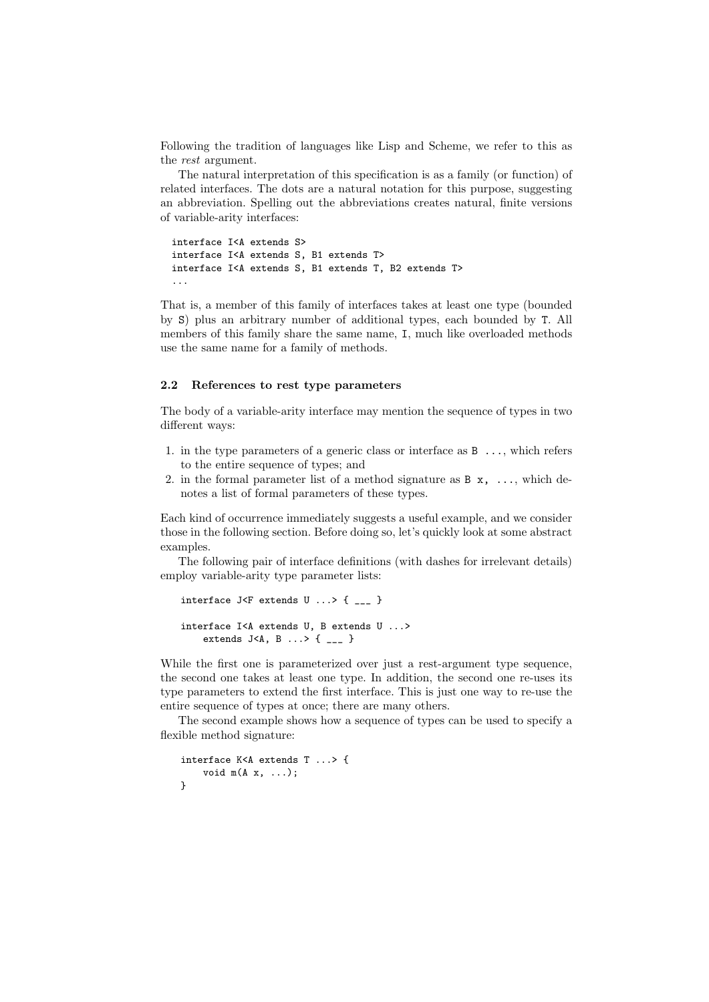Following the tradition of languages like Lisp and Scheme, we refer to this as the rest argument.

The natural interpretation of this specification is as a family (or function) of related interfaces. The dots are a natural notation for this purpose, suggesting an abbreviation. Spelling out the abbreviations creates natural, finite versions of variable-arity interfaces:

```
interface I<A extends S>
interface I<A extends S, B1 extends T>
interface I<A extends S, B1 extends T, B2 extends T>
...
```
That is, a member of this family of interfaces takes at least one type (bounded by S) plus an arbitrary number of additional types, each bounded by T. All members of this family share the same name, I, much like overloaded methods use the same name for a family of methods.

### 2.2 References to rest type parameters

The body of a variable-arity interface may mention the sequence of types in two different ways:

- 1. in the type parameters of a generic class or interface as B ..., which refers to the entire sequence of types; and
- 2. in the formal parameter list of a method signature as  $B \times$ , ..., which denotes a list of formal parameters of these types.

Each kind of occurrence immediately suggests a useful example, and we consider those in the following section. Before doing so, let's quickly look at some abstract examples.

The following pair of interface definitions (with dashes for irrelevant details) employ variable-arity type parameter lists:

```
interface J<F extends U \ldots > \{ \_ \_ \_ \}interface I<A extends U, B extends U ...>
    extends J<A, B \ldots> { ___ }
```
While the first one is parameterized over just a rest-argument type sequence, the second one takes at least one type. In addition, the second one re-uses its type parameters to extend the first interface. This is just one way to re-use the entire sequence of types at once; there are many others.

The second example shows how a sequence of types can be used to specify a flexible method signature:

```
interface K<A extends T ...> {
   void m(A x, ...);
}
```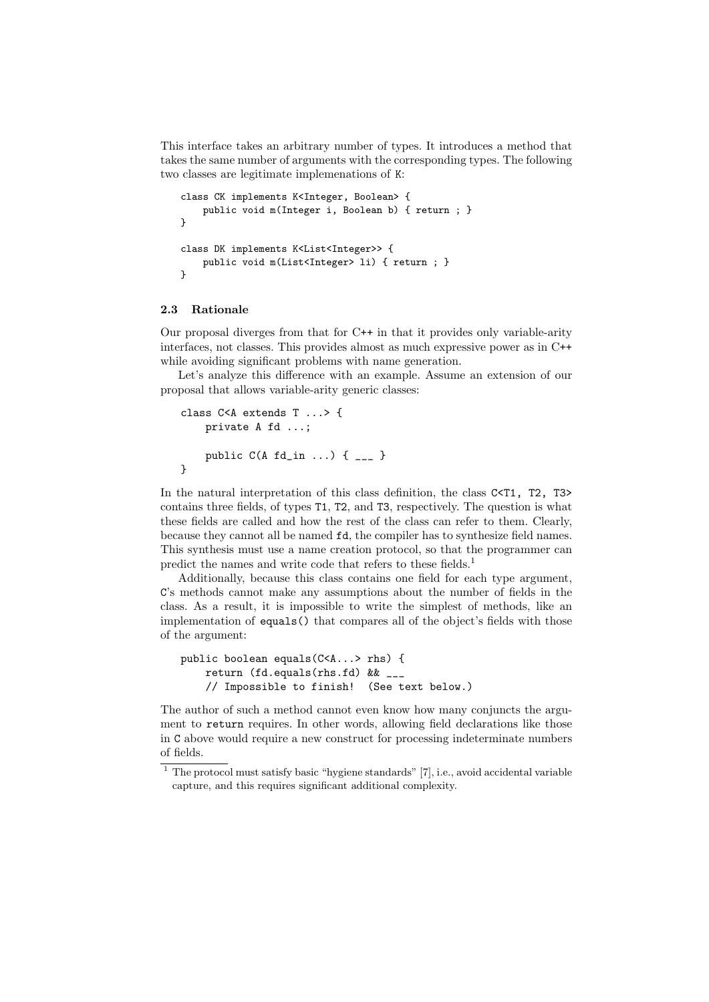This interface takes an arbitrary number of types. It introduces a method that takes the same number of arguments with the corresponding types. The following two classes are legitimate implemenations of K:

```
class CK implements K<Integer, Boolean> {
    public void m(Integer i, Boolean b) { return ; }
}
class DK implements K<List<Integer>> {
    public void m(List<Integer> li) { return ; }
}
```
#### 2.3 Rationale

Our proposal diverges from that for C++ in that it provides only variable-arity interfaces, not classes. This provides almost as much expressive power as in C++ while avoiding significant problems with name generation.

Let's analyze this difference with an example. Assume an extension of our proposal that allows variable-arity generic classes:

```
class C<A extends T ...> {
    private A fd ...;
    public C(A fd_in ...) { ___ }
}
```
In the natural interpretation of this class definition, the class C<T1, T2, T3> contains three fields, of types T1, T2, and T3, respectively. The question is what these fields are called and how the rest of the class can refer to them. Clearly, because they cannot all be named fd, the compiler has to synthesize field names. This synthesis must use a name creation protocol, so that the programmer can predict the names and write code that refers to these fields.<sup>1</sup>

Additionally, because this class contains one field for each type argument, C's methods cannot make any assumptions about the number of fields in the class. As a result, it is impossible to write the simplest of methods, like an implementation of equals() that compares all of the object's fields with those of the argument:

```
public boolean equals(C<A...> rhs) {
    return (fd.equals(rhs.fd) && ___
    // Impossible to finish! (See text below.)
```
The author of such a method cannot even know how many conjuncts the argument to return requires. In other words, allowing field declarations like those in C above would require a new construct for processing indeterminate numbers of fields.

<sup>1</sup> The protocol must satisfy basic "hygiene standards" [7], i.e., avoid accidental variable capture, and this requires significant additional complexity.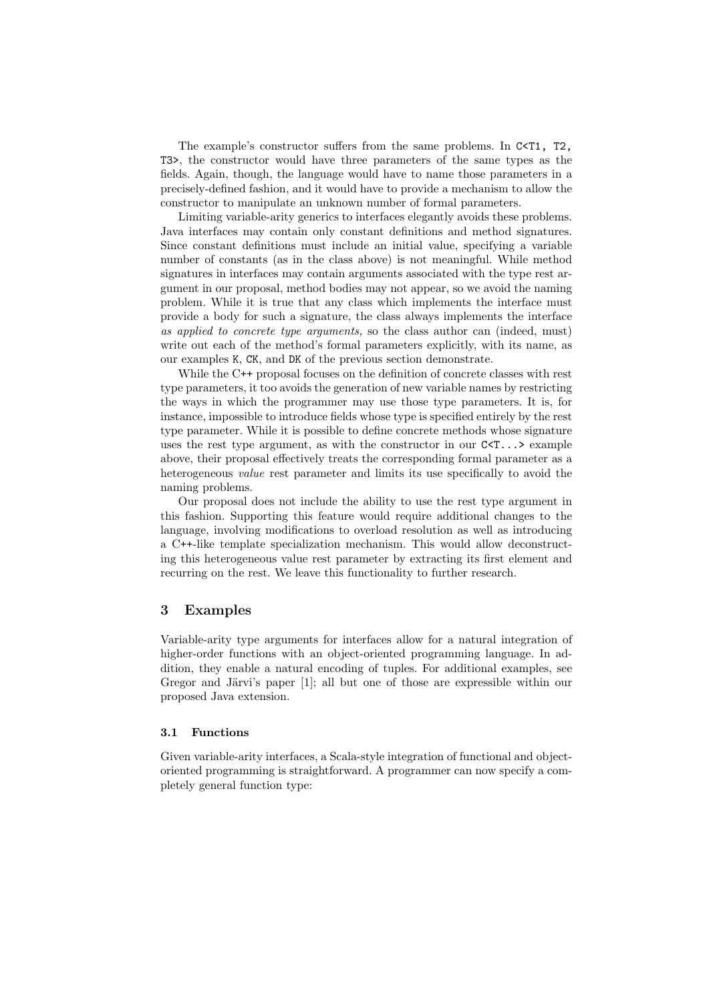The example's constructor suffers from the same problems. In C<T1, T2, T3>, the constructor would have three parameters of the same types as the fields. Again, though, the language would have to name those parameters in a precisely-defined fashion, and it would have to provide a mechanism to allow the constructor to manipulate an unknown number of formal parameters.

Limiting variable-arity generics to interfaces elegantly avoids these problems. Java interfaces may contain only constant definitions and method signatures. Since constant definitions must include an initial value, specifying a variable number of constants (as in the class above) is not meaningful. While method signatures in interfaces may contain arguments associated with the type rest argument in our proposal, method bodies may not appear, so we avoid the naming problem. While it is true that any class which implements the interface must provide a body for such a signature, the class always implements the interface as applied to concrete type arguments, so the class author can (indeed, must) write out each of the method's formal parameters explicitly, with its name, as our examples K, CK, and DK of the previous section demonstrate.

While the C<sup>++</sup> proposal focuses on the definition of concrete classes with rest type parameters, it too avoids the generation of new variable names by restricting the ways in which the programmer may use those type parameters. It is, for instance, impossible to introduce fields whose type is specified entirely by the rest type parameter. While it is possible to define concrete methods whose signature uses the rest type argument, as with the constructor in our  $C < T \ldots$  example above, their proposal effectively treats the corresponding formal parameter as a heterogeneous *value* rest parameter and limits its use specifically to avoid the naming problems.

Our proposal does not include the ability to use the rest type argument in this fashion. Supporting this feature would require additional changes to the language, involving modifications to overload resolution as well as introducing a C++-like template specialization mechanism. This would allow deconstructing this heterogeneous value rest parameter by extracting its first element and recurring on the rest. We leave this functionality to further research.

# 3 Examples

Variable-arity type arguments for interfaces allow for a natural integration of higher-order functions with an object-oriented programming language. In addition, they enable a natural encoding of tuples. For additional examples, see Gregor and Järvi's paper [1]; all but one of those are expressible within our proposed Java extension.

### 3.1 Functions

Given variable-arity interfaces, a Scala-style integration of functional and objectoriented programming is straightforward. A programmer can now specify a completely general function type: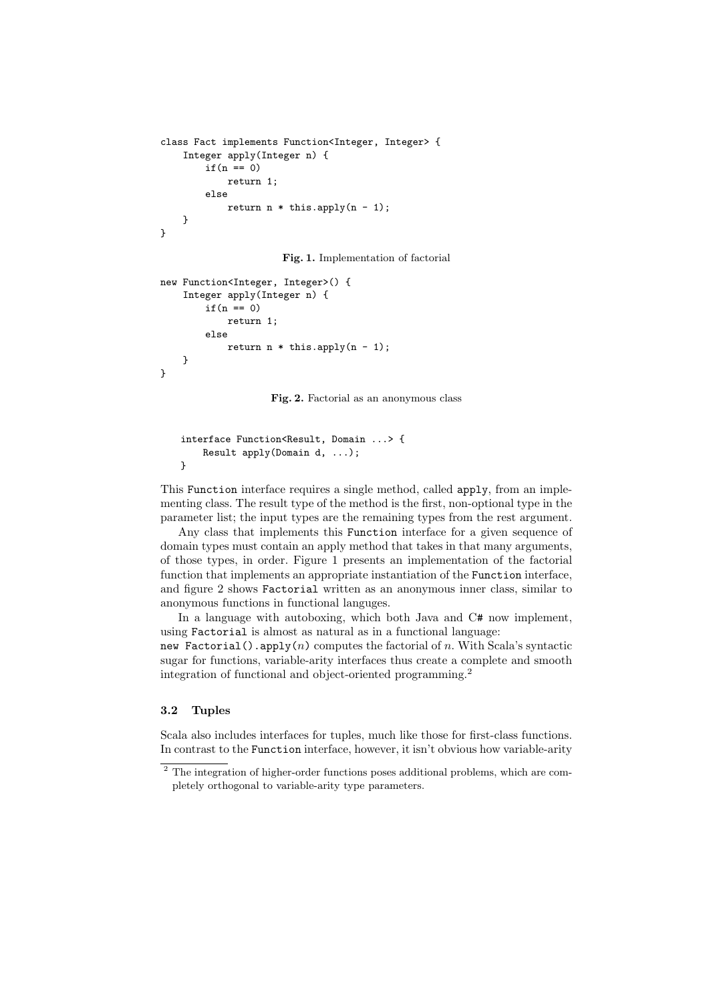```
class Fact implements Function<Integer, Integer> {
    Integer apply(Integer n) {
        if(n == 0)return 1;
        else
            return n * this.appendy(n - 1);}
}
```
Fig. 1. Implementation of factorial

```
new Function<Integer, Integer>() {
    Integer apply(Integer n) {
        if(n == 0)return 1;
        else
            return n * this.apply(n - 1);
    }
}
```
Fig. 2. Factorial as an anonymous class

```
interface Function<Result, Domain ...> {
    Result apply(Domain d, ...);
}
```
This Function interface requires a single method, called apply, from an implementing class. The result type of the method is the first, non-optional type in the parameter list; the input types are the remaining types from the rest argument.

Any class that implements this Function interface for a given sequence of domain types must contain an apply method that takes in that many arguments, of those types, in order. Figure 1 presents an implementation of the factorial function that implements an appropriate instantiation of the Function interface, and figure 2 shows Factorial written as an anonymous inner class, similar to anonymous functions in functional languges.

In a language with autoboxing, which both Java and C# now implement, using Factorial is almost as natural as in a functional language:

new Factorial().apply(n) computes the factorial of n. With Scala's syntactic sugar for functions, variable-arity interfaces thus create a complete and smooth integration of functional and object-oriented programming.<sup>2</sup>

#### 3.2 Tuples

Scala also includes interfaces for tuples, much like those for first-class functions. In contrast to the Function interface, however, it isn't obvious how variable-arity

<sup>2</sup> The integration of higher-order functions poses additional problems, which are completely orthogonal to variable-arity type parameters.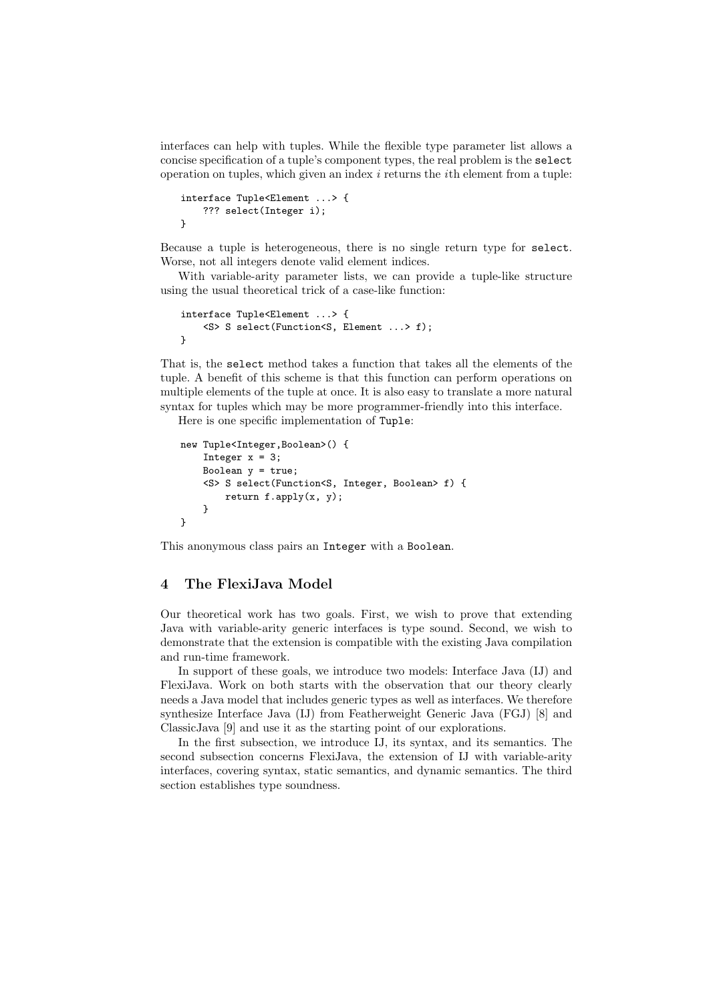interfaces can help with tuples. While the flexible type parameter list allows a concise specification of a tuple's component types, the real problem is the select operation on tuples, which given an index  $i$  returns the  $i$ th element from a tuple:

```
interface Tuple<Element ...> {
    ??? select(Integer i);
}
```
Because a tuple is heterogeneous, there is no single return type for select. Worse, not all integers denote valid element indices.

With variable-arity parameter lists, we can provide a tuple-like structure using the usual theoretical trick of a case-like function:

```
interface Tuple<Element ...> {
    <S> S select(Function<S, Element ...> f);
}
```
That is, the select method takes a function that takes all the elements of the tuple. A benefit of this scheme is that this function can perform operations on multiple elements of the tuple at once. It is also easy to translate a more natural syntax for tuples which may be more programmer-friendly into this interface.

Here is one specific implementation of Tuple:

```
new Tuple<Integer,Boolean>() {
    Integer x = 3;
    Boolean y = true;
    <S> S select(Function<S, Integer, Boolean> f) {
        return f.\text{apply}(x, y);
    }
}
```
This anonymous class pairs an Integer with a Boolean.

# 4 The FlexiJava Model

Our theoretical work has two goals. First, we wish to prove that extending Java with variable-arity generic interfaces is type sound. Second, we wish to demonstrate that the extension is compatible with the existing Java compilation and run-time framework.

In support of these goals, we introduce two models: Interface Java (IJ) and FlexiJava. Work on both starts with the observation that our theory clearly needs a Java model that includes generic types as well as interfaces. We therefore synthesize Interface Java (IJ) from Featherweight Generic Java (FGJ) [8] and ClassicJava [9] and use it as the starting point of our explorations.

In the first subsection, we introduce IJ, its syntax, and its semantics. The second subsection concerns FlexiJava, the extension of IJ with variable-arity interfaces, covering syntax, static semantics, and dynamic semantics. The third section establishes type soundness.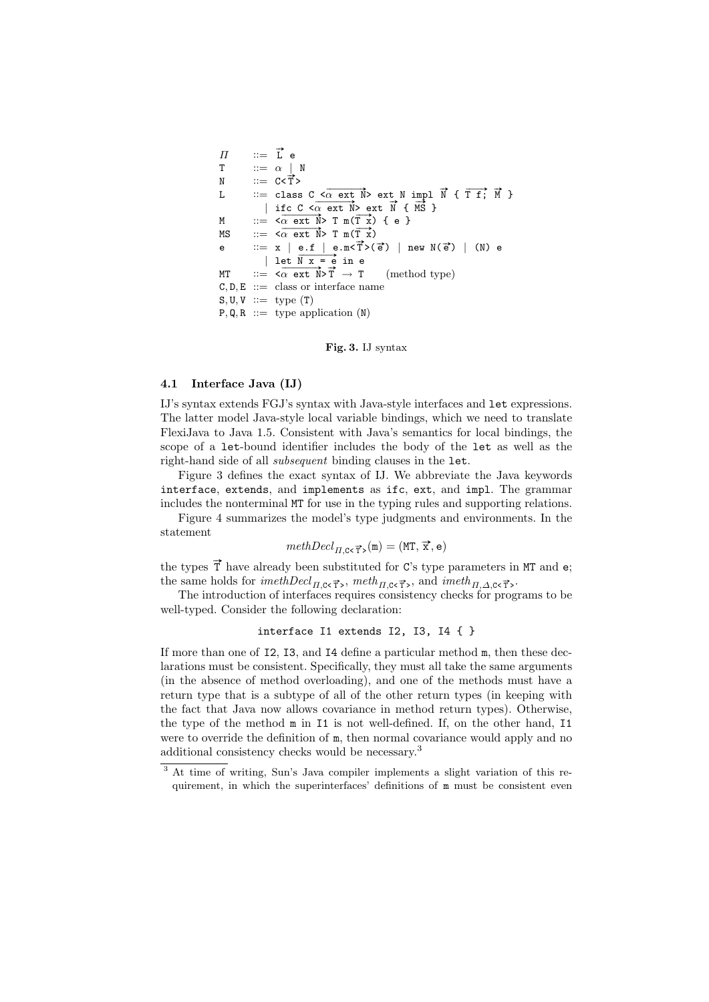```
\Pi ::= \overrightarrow{L} e
T \qquad ::= \alpha \mid NN ::= C < \overrightarrow{T} >\begin{array}{lll} \mathbb{R} & \dots & \cup \mathbb{R} \\ \mathbb{L} & \dots & \longmapsto \mathbb{R} \\ \mathbb{L} & \dots & \longmapsto \mathbb{R} \end{array} \text{ and } \begin{array}{lll} \mathbb{R} & \longrightarrow & \mathbb{R} \\ \mathbb{R} & \longrightarrow & \mathbb{R} \\ \mathbb{R} & \longrightarrow & \mathbb{R} \end{array} \text{ and } \begin{array}{lll} \mathbb{R} & \longrightarrow & \mathbb{R} \\ \mathbb{R} & \longrightarrow & \mathbb{R} \\ \mathbb{R} & \longrightarrow & \mathbb{R} \end{array}= class C \xrightarrow{CA} \text{ext } N ext N \text{impl}<br>| ifc C \langle \alpha \text{ ext } N \rangle ext \overrightarrow{N} { \overrightarrow{MS} }
 M ::= \frac{1 \text{R}}{2 \text{R}} \times \frac{1}{N} T m(T x) { e }
 MS \lim_{x \to \infty} \frac{\alpha}{\alpha} \frac{\alpha}{\alpha} \frac{\alpha}{\alpha} \frac{\alpha}{\alpha} \frac{\alpha}{\alpha} \frac{\alpha}{\alpha} \frac{\alpha}{\alpha}e ::= x | e.f | e.m<\overrightarrow{T} > (\overrightarrow{e}) | new N(\overrightarrow{e}) | (N) e
                                \vert 2 \vert \frac{e.1}{x} \vert \frac{e.4}{x} \vert \frac{e.4}{x} \vert \frac{e.4}{x} \vertMT \lim_{x \to \infty} \frac{1}{\alpha} \frac{\det M \times - \det M}{\det M \times \vec{T}} \to \vec{T} (method type)
C, D, E ::= \text{class or interface name}S, U, V ::= type (T)P, Q, R ::= type application (N)
```
#### Fig. 3. IJ syntax

### 4.1 Interface Java (IJ)

IJ's syntax extends FGJ's syntax with Java-style interfaces and let expressions. The latter model Java-style local variable bindings, which we need to translate FlexiJava to Java 1.5. Consistent with Java's semantics for local bindings, the scope of a let-bound identifier includes the body of the let as well as the right-hand side of all *subsequent* binding clauses in the let.

Figure 3 defines the exact syntax of IJ. We abbreviate the Java keywords interface, extends, and implements as ifc, ext, and impl. The grammar includes the nonterminal MT for use in the typing rules and supporting relations.

Figure 4 summarizes the model's type judgments and environments. In the statement

$$
method_{\Pi, \text{C}<\overrightarrow{\mathbf{T}}>}(\mathbf{m}) = (\text{MT}, \overrightarrow{\mathbf{x}}, \mathbf{e})
$$

the types  $\vec{T}$  have already been substituted for C's type parameters in MT and e; the same holds for  $\text{imeth}$   $\text{D} \text{ecl}_{\Pi,\text{C} \leq \vec{\mathsf{T}}>}$ ,  $\text{meth}_{\Pi,\text{C} \leq \vec{\mathsf{T}}>}$ , and  $\text{imeth}_{\Pi,\Delta,\text{C} \leq \vec{\mathsf{T}}}$ .

The introduction of interfaces requires consistency checks for programs to be well-typed. Consider the following declaration:

```
interface I1 extends I2, I3, I4 { }
```
If more than one of I2, I3, and I4 define a particular method m, then these declarations must be consistent. Specifically, they must all take the same arguments (in the absence of method overloading), and one of the methods must have a return type that is a subtype of all of the other return types (in keeping with the fact that Java now allows covariance in method return types). Otherwise, the type of the method m in I1 is not well-defined. If, on the other hand, I1 were to override the definition of  $m$ , then normal covariance would apply and no additional consistency checks would be necessary.<sup>3</sup>

<sup>3</sup> At time of writing, Sun's Java compiler implements a slight variation of this requirement, in which the superinterfaces' definitions of m must be consistent even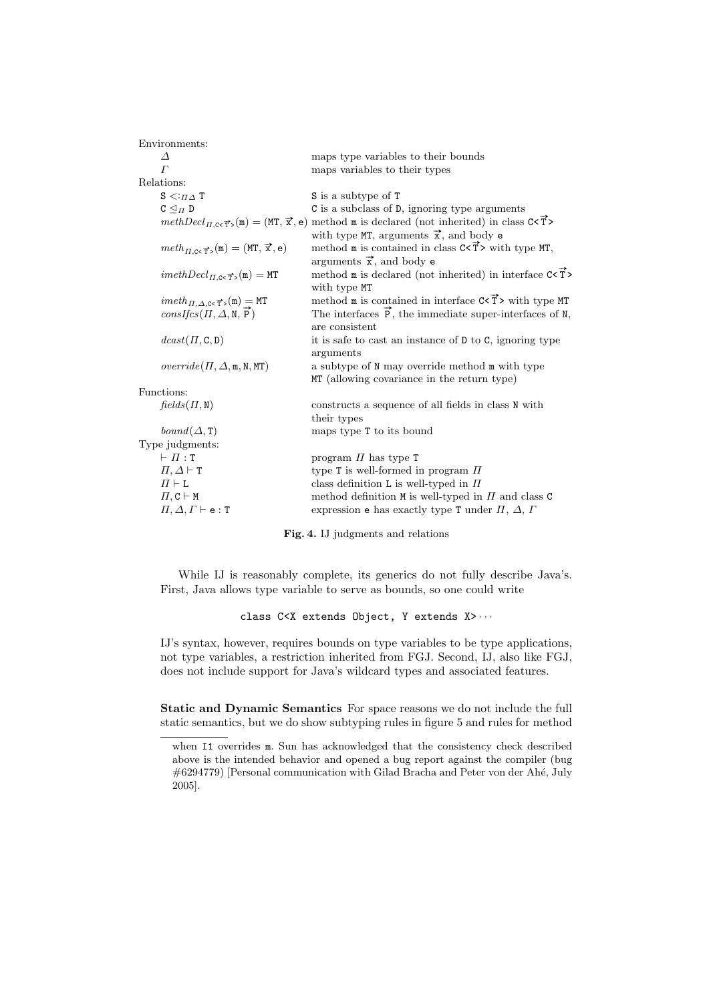| Environments:                                                                              |                                                                                                                                                                                                        |
|--------------------------------------------------------------------------------------------|--------------------------------------------------------------------------------------------------------------------------------------------------------------------------------------------------------|
| Δ                                                                                          | maps type variables to their bounds                                                                                                                                                                    |
| $\Gamma$                                                                                   | maps variables to their types                                                                                                                                                                          |
| Relations:                                                                                 |                                                                                                                                                                                                        |
| $S \lt:_{\Pi A} T$                                                                         | S is a subtype of T                                                                                                                                                                                    |
| $C \triangleleft_{\Pi} D$                                                                  | C is a subclass of D, ignoring type arguments                                                                                                                                                          |
|                                                                                            | $method_{\Pi,\mathsf{C}\ltimes\vec{\mathsf{T}}}\cdot(\mathsf{m})=(\text{MT},\vec{\mathsf{x}},\mathsf{e})$ method $\mathsf{m}$ is declared (not inherited) in class $\mathsf{C}\lt\vec{\mathsf{T}}\geq$ |
|                                                                                            | with type MT, arguments $\vec{x}$ , and body e                                                                                                                                                         |
| $meth_{\Pi, \text{C}<\overrightarrow{\mathbf{T}}}(m) = (MT, \overrightarrow{x}, e)$        | method $m$ is contained in class $C < \vec{T}$ with type MT,                                                                                                                                           |
|                                                                                            | arguments $\vec{x}$ , and body e                                                                                                                                                                       |
| $imeth Decl_{\Pi, \text{C}\leq \overrightarrow{T}}(\mathfrak{m}) = \text{MT}$              | method $m$ is declared (not inherited) in interface $C < \vec{T}$                                                                                                                                      |
|                                                                                            | with type MT                                                                                                                                                                                           |
| $\overline{imeth}_{\Pi,\Delta,\mathbb{C}\leq\overrightarrow{T}}(\mathfrak{m})=\texttt{MT}$ | method m is contained in interface $C < \overrightarrow{T}$ with type MT                                                                                                                               |
| $consIfcs(\Pi, \Delta, N, \vec{P})$                                                        | The interfaces $\vec{P}$ , the immediate super-interfaces of N,                                                                                                                                        |
|                                                                                            | are consistent                                                                                                                                                                                         |
| $dcast(\Pi, C, D)$                                                                         | it is safe to cast an instance of $D$ to $C$ , ignoring type                                                                                                                                           |
|                                                                                            | arguments                                                                                                                                                                                              |
| $override(\Pi, \Delta, m, N, MT)$                                                          | a subtype of N may override method m with type                                                                                                                                                         |
|                                                                                            | MT (allowing covariance in the return type)                                                                                                                                                            |
| Functions:                                                                                 |                                                                                                                                                                                                        |
| $fields(\Pi, N)$                                                                           | constructs a sequence of all fields in class N with                                                                                                                                                    |
|                                                                                            | their types                                                                                                                                                                                            |
| $bound(\Delta, T)$                                                                         | maps type T to its bound                                                                                                                                                                               |
| Type judgments:                                                                            |                                                                                                                                                                                                        |
| $\vdash \Pi : \texttt{T}$                                                                  | program $\Pi$ has type T                                                                                                                                                                               |
| $\Pi, \Delta \vdash T$                                                                     | type $T$ is well-formed in program $\Pi$                                                                                                                                                               |
| $\Pi \vdash L$                                                                             | class definition L is well-typed in $\Pi$                                                                                                                                                              |
| $\Pi, C \vdash M$                                                                          | method definition $M$ is well-typed in $\Pi$ and class $C$                                                                                                                                             |
| $\Pi, \Delta, \Gamma \vdash$ e : T                                                         | expression e has exactly type T under $\Pi$ , $\Delta$ , $\Gamma$                                                                                                                                      |
|                                                                                            |                                                                                                                                                                                                        |

Fig. 4. IJ judgments and relations

While IJ is reasonably complete, its generics do not fully describe Java's. First, Java allows type variable to serve as bounds, so one could write

class C<X extends Object, Y extends X>...

IJ's syntax, however, requires bounds on type variables to be type applications, not type variables, a restriction inherited from FGJ. Second, IJ, also like FGJ, does not include support for Java's wildcard types and associated features.

Static and Dynamic Semantics For space reasons we do not include the full static semantics, but we do show subtyping rules in figure 5 and rules for method

when I1 overrides  $m$ . Sun has acknowledged that the consistency check described above is the intended behavior and opened a bug report against the compiler (bug #6294779) [Personal communication with Gilad Bracha and Peter von der Ahé, July 2005].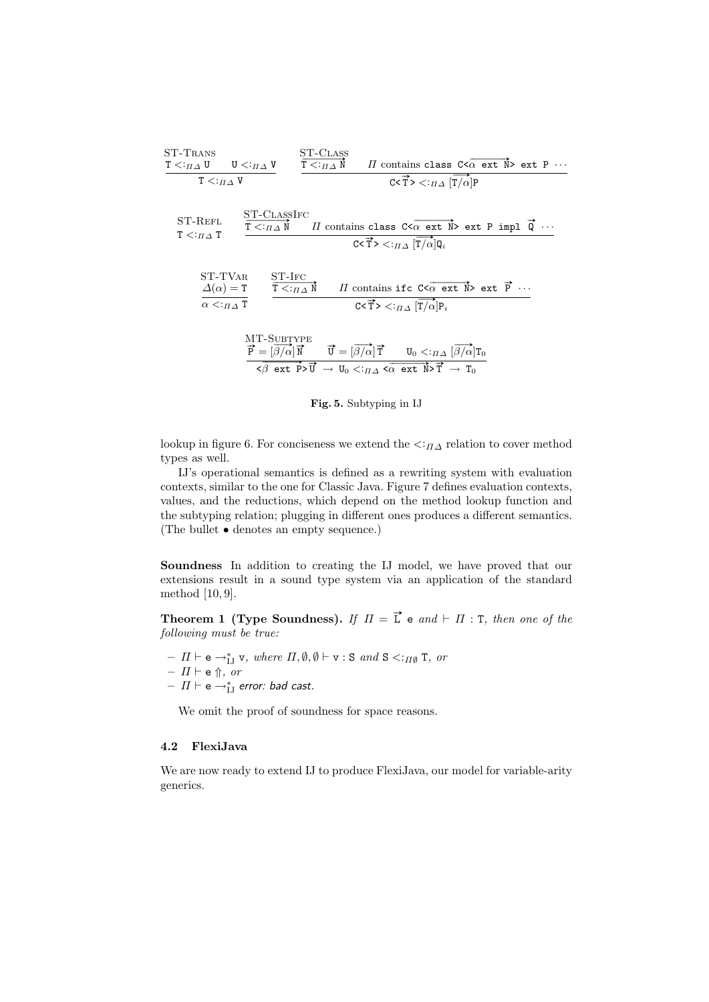ST-Trans  
\n
$$
\frac{T \leq:_{\Pi\Delta} U}{T \leq:_{\Pi\Delta} V} \qquad \frac{\sum T \leq:_{\Pi\Delta} N}{T \leq:_{\Pi\Delta} N} \qquad \Pi \text{ contains class } C \leq \alpha \text{ ext } N > \text{ ext } P \cdots
$$
\n
$$
\frac{1}{T \leq:_{\Pi\Delta} V} \qquad \frac{1}{T \leq:_{\Pi\Delta} N} \qquad \frac{1}{T \leq:_{\Pi\Delta} N} \qquad \frac{1}{T \leq:_{\Pi\Delta} N} \qquad \frac{1}{T \leq:_{\Pi\Delta} N} \qquad \frac{1}{T \leq:_{\Pi\Delta} N} \qquad \frac{1}{T \leq:_{\Pi\Delta} N} \qquad \frac{1}{T \leq:_{\Pi\Delta} N} \qquad \frac{1}{T \leq:_{\Pi\Delta} N} \qquad \frac{1}{T \leq:_{\Pi\Delta} N} \qquad \frac{1}{T \leq:_{\Pi\Delta} N} \qquad \frac{1}{T \leq:_{\Pi\Delta} N} \qquad \frac{1}{T \leq:_{\Pi\Delta} N} \qquad \frac{1}{T \leq:_{\Pi\Delta} N} \qquad \frac{1}{T \leq:_{\Pi\Delta} N} \qquad \frac{1}{T \leq:_{\Pi\Delta} N} \qquad \frac{1}{T \leq:_{\Pi\Delta} N} \qquad \frac{1}{T \leq:_{\Pi\Delta} N} \qquad \frac{1}{T \leq:_{\Pi\Delta} N} \qquad \frac{1}{T \leq:_{\Pi\Delta} N} \qquad \frac{1}{T \leq:_{\Pi\Delta} N} \qquad \frac{1}{T \leq:_{\Pi\Delta} N} \qquad \frac{1}{T \leq:_{\Pi\Delta} N} \qquad \frac{1}{T \leq:_{\Pi\Delta} N} \qquad \frac{1}{T \leq:_{\Pi\Delta} N} \qquad \frac{1}{T \leq:_{\Pi\Delta} N} \qquad \frac{1}{T \leq:_{\Pi\Delta} N} \qquad \frac{1}{T \leq:_{\Pi\Delta} N} \qquad \frac{1}{T \leq:_{\Pi\Delta} N} \qquad \frac{1}{T \leq:_{\Pi\Delta} N} \qquad \frac{1}{T \leq:_{\Pi\Delta} N} \qquad
$$

Fig. 5. Subtyping in IJ

lookup in figure 6. For conciseness we extend the  $\langle :_{{\Pi\Delta}}$  relation to cover method types as well.

IJ's operational semantics is defined as a rewriting system with evaluation contexts, similar to the one for Classic Java. Figure 7 defines evaluation contexts, values, and the reductions, which depend on the method lookup function and the subtyping relation; plugging in different ones produces a different semantics. (The bullet • denotes an empty sequence.)

Soundness In addition to creating the IJ model, we have proved that our extensions result in a sound type system via an application of the standard method [10, 9].

**Theorem 1 (Type Soundness).** If  $\Pi = \vec{L}$  **e** and  $\vdash \Pi$  : T, then one of the following must be true:

 $-I\to e \rightarrow_{IJ}^* v$ , where  $\Pi$ ,  $\emptyset$ ,  $\emptyset \vdash v : S$  and  $S \ltimes_{I} \emptyset$  T, or  $\Pi \vdash$  e  $\Uparrow$ , or  $\Pi \vdash$  e  $\rightarrow^*_{\mathrm{IJ}}$  error: bad cast.

We omit the proof of soundness for space reasons.

### 4.2 FlexiJava

We are now ready to extend IJ to produce FlexiJava, our model for variable-arity generics.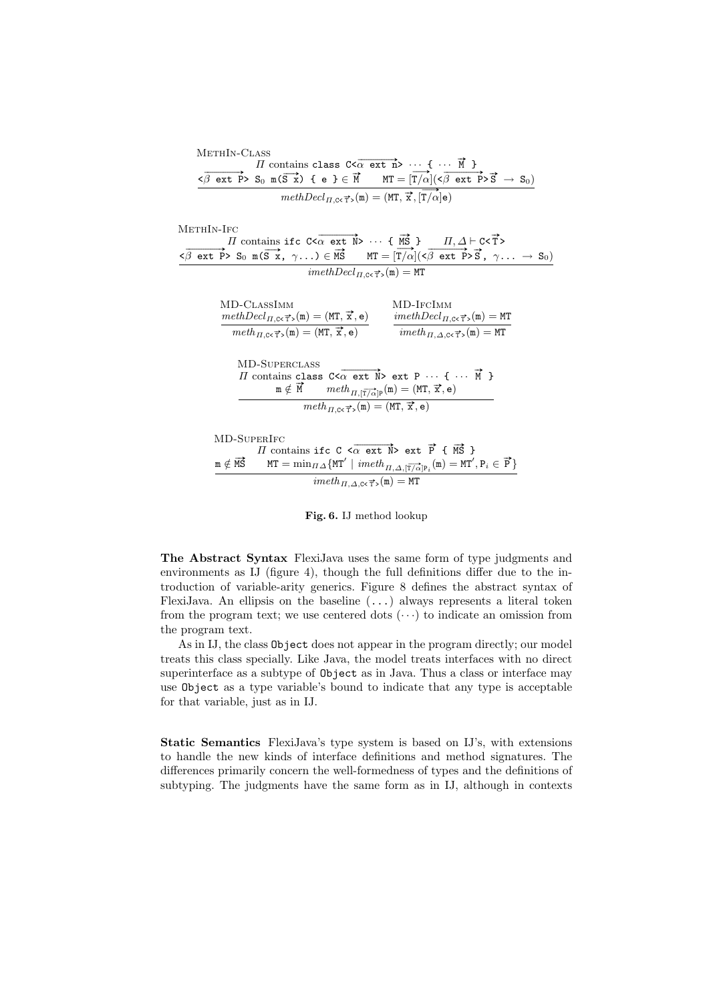| METHIN-CLASS                                                                                                                                                                                                                   |
|--------------------------------------------------------------------------------------------------------------------------------------------------------------------------------------------------------------------------------|
| <i>II</i> contains class $C \langle \overrightarrow{\alpha} \text{ ext } \overrightarrow{n} \rangle \cdots \{ \cdots \overrightarrow{M} \}$                                                                                    |
| $\overrightarrow{AB}$ ext P> S <sub>0</sub> m( $\overrightarrow{S}$ x) { e } $\in \overrightarrow{M}$ MT = $ \overrightarrow{T/\alpha} $ ( $\overrightarrow{\beta}$ ext P> $\overrightarrow{S}$ $\rightarrow$ S <sub>0</sub> ) |
| $method_{\Pi, \text{C}\ltimes \overrightarrow{T}}(\mathfrak{m}) = (\text{MT}, \overrightarrow{x}, [\text{T}/\alpha] \text{e})$                                                                                                 |

MethIn-Ifc

$$
\overbrace{\langle \beta \text{ ext P}\rangle \ S_0 \text{ m}(\overbrace{\mathbf{S} \text{ x}}, \gamma \dots) \in \overbrace{\mathbf{M}\mathbf{S}}^{\mathbf{S}} \text{ MT} = [\overbrace{T/\alpha}]{I, \Delta \vdash \mathbf{C} \leq \overline{T}}^{\mathbf{A}} \times \overbrace{\gamma \dots \rightarrow S_0}^{\mathbf{A}}}
$$
\n
$$
\overbrace{\langle \beta \text{ ext P}\rangle \ S_0 \text{ m}(\overbrace{\mathbf{S} \text{ x}}, \gamma \dots) \in \overbrace{\mathbf{M}\mathbf{S}}^{\mathbf{S}} \text{ MT} = [\overbrace{T/\alpha}]{\langle \langle \beta \text{ ext P}\rangle \overline{\mathbf{S}}, \gamma \dots \rightarrow S_0}^{\mathbf{A}}}
$$
\n
$$
\overbrace{\text{imeth} \text{D} \text{ ecl}_{\Pi, \text{C} \leq \overline{T}}^{\mathbf{A}} \times (\mathbf{m}) = \text{MT}}
$$

| MD-CLASSIMM                                                                                             | MD-IfcImm                                                                                        |
|---------------------------------------------------------------------------------------------------------|--------------------------------------------------------------------------------------------------|
| $method_{\Pi, c \leq \vec{\tau} >}(\mathfrak{m}) = (\text{MT}, \vec{x}, \mathbf{e})$                    | $\mathit{imeth} \mathit{Decl}_{\Pi, \text{C} \leq \overrightarrow{T}}(\mathfrak{m}) = \text{MT}$ |
| $meth_{\Pi, \text{C}\leq \overrightarrow{T}}(\mathfrak{m}) = (\text{MT}, \overrightarrow{x}, \text{e})$ | $\mathit{imeth}_{\Pi,\Delta,\text{C}\leq\overrightarrow{T}}(m) = MT$                             |

MD-Superenclass 
$$
C<\overrightarrow{\alpha}
$$
 ext  $\overrightarrow{N}$  ext  $P \cdots \{ \cdots \overrightarrow{M} \}$   $\underline{m} \notin \overrightarrow{M}$   $meth_{\Pi, [\overrightarrow{T} \cap \mathbf{c}]P}(\mathbf{m}) = (\mathbf{M} \mathbf{T}, \overrightarrow{\mathbf{x}}, \mathbf{e})$   $meth_{\Pi, c < \overrightarrow{T}}(\mathbf{m}) = (\mathbf{M} \mathbf{T}, \overrightarrow{\mathbf{x}}, \mathbf{e})$ 

MD-SuperIfc

M1D-SUPERIFC  
\n
$$
\overline{II} \text{ contains } \text{if } c \in \overline{c} \text{ exist } \overrightarrow{N} > \text{ext } \overrightarrow{P} \{ \overrightarrow{MS} \}
$$
\n
$$
\underline{m} \notin \overrightarrow{MS} \qquad \overrightarrow{MT} = \min_{\Pi \Delta} \{ \overrightarrow{MT} \mid \text{imeth}_{\Pi, \Delta, [\overrightarrow{T/\alpha}]P_i}(\overrightarrow{m}) = \overrightarrow{MT}', P_i \in \overrightarrow{P} \}
$$
\n
$$
\overrightarrow{imeth}_{\Pi, \Delta, c \leq \overrightarrow{T}}>(\overrightarrow{m}) = \overrightarrow{MT}
$$

Fig. 6. IJ method lookup

The Abstract Syntax FlexiJava uses the same form of type judgments and environments as IJ (figure 4), though the full definitions differ due to the introduction of variable-arity generics. Figure 8 defines the abstract syntax of FlexiJava. An ellipsis on the baseline (...) always represents a literal token from the program text; we use centered dots  $(\cdots)$  to indicate an omission from the program text.

As in IJ, the class Object does not appear in the program directly; our model treats this class specially. Like Java, the model treats interfaces with no direct superinterface as a subtype of Object as in Java. Thus a class or interface may use Object as a type variable's bound to indicate that any type is acceptable for that variable, just as in IJ.

Static Semantics FlexiJava's type system is based on IJ's, with extensions to handle the new kinds of interface definitions and method signatures. The differences primarily concern the well-formedness of types and the definitions of subtyping. The judgments have the same form as in IJ, although in contexts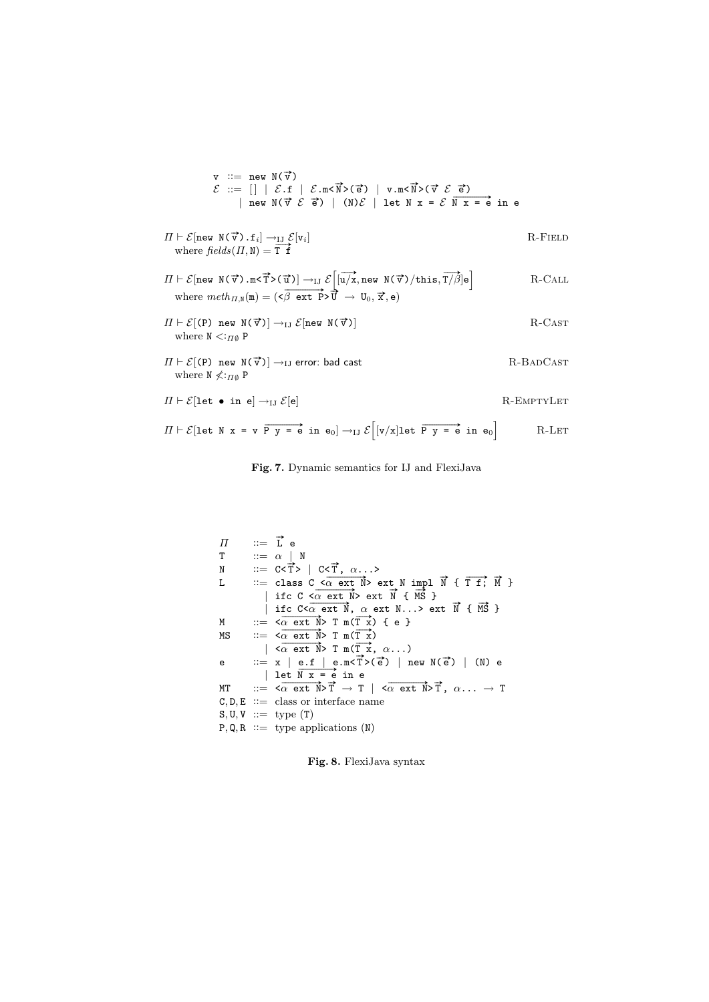$$
\begin{array}{ll}\n\text{v} & \text{::= new } \mathbb{N}(\vec{v}) \\
\mathcal{E} & \text{::= } [] \mid \mathcal{E}.\mathbf{f} \mid \mathcal{E}.\mathfrak{m} < \vec{N} > (\vec{e}) \mid \mathfrak{v}.\mathfrak{m} < \vec{N} > (\vec{v} \quad \mathcal{E} \quad \vec{e}) \\
& \mid \text{new } \mathbb{N}(\vec{v} \quad \mathcal{E} \quad \vec{e}) \mid (\mathbb{N})\mathcal{E} \mid \text{let } \mathbb{N} \times \mathbf{z} = \mathcal{E} \quad \vec{N} \times \mathbf{z} = \vec{e} \text{ in } \vec{e} \\
\text{II} \vdash \mathcal{E}[\text{new } \mathbb{N}(\vec{v}) \cdot \mathbf{f}_i] \rightarrow_{IJ} \mathcal{E}[\mathfrak{v}_i] & \text{R-FiELD} \\
\text{where fields}(\Pi, \mathbb{N}) = \vec{T}.\vec{f} \\
\text{II} \vdash \mathcal{E}[\text{new } \mathbb{N}(\vec{v}) \cdot \mathfrak{m} < \vec{T} > (\vec{u})] \rightarrow_{IJ} \mathcal{E} \left[ \mathfrak{u} / \mathfrak{x}, \text{new } \mathbb{N}(\vec{v}) / \text{this}, \vec{T} / \beta \right] \mathbf{e} \right] & \text{R-CALL} \\
\text{where } \mathfrak{m} \in \mathit{th}_{II, \mathbb{N}}(\mathfrak{m}) = (\langle \beta \text{ ext } \vec{P} > \vec{U} \rightarrow \mathbb{U}_0, \vec{x}, \vec{e}) \\
\text{II} \vdash \mathcal{E}[(\mathbf{P}) \text{ new } \mathbb{N}(\vec{v})] \rightarrow_{IJ} \mathcal{E}[\text{new } \mathbb{N}(\vec{v})] & \text{R-CAST} \\
\text{where } \mathbb{N} < :_{II\emptyset} \mathbf{P} \\
\text{II} \vdash \mathcal{E}[\text{I}(\mathbf{P}) \text{ new } \mathbb{N}(\vec{v})] \rightarrow_{IJ} \text{error: bad cast} \\
\text{II} \vdash \mathcal{E}[\text{let } \mathbf{v} \text{ in } \mathbf{e}] \rightarrow
$$

Fig. 7. Dynamic semantics for IJ and FlexiJava

| $\Pi$ | ::=\vec{L} e                                                                                                                                                                                                   |     |
|-------|----------------------------------------------------------------------------------------------------------------------------------------------------------------------------------------------------------------|-----|
| $T$   | ::=\alpha   N                                                                                                                                                                                                  |     |
| $N$   | ::=\n $\text{class } C < \overrightarrow{\alpha} \text{ ext } \overrightarrow{N} > \text{ ext } N \text{ impl } \overrightarrow{N} \text{ { T } \overrightarrow{f} \text{ ; }} \overrightarrow{M} \text{ }$ \n |     |
| $L$   | ::=\n $\text{class } C < \overrightarrow{\alpha} \text{ ext } \overrightarrow{N} > \text{ ext } N \text{ impl } \overrightarrow{N} \text{ { T } \overrightarrow{f} \text{ ; }} \overrightarrow{M} \text{ }$ \n |     |
| $I$   | if:\n $C < \overrightarrow{\alpha} \text{ ext } \overrightarrow{N} > \text{ ext } \overrightarrow{N} \text{ { M } \overrightarrow{S} \text{ }$ \n                                                              |     |
| $M$   | ::=\n $\overrightarrow{\alpha} \text{ ext } \overrightarrow{N} > T \text{ m } (\overrightarrow{x})$ \n                                                                                                         |     |
| $M$   | ::=\n $\overrightarrow{\alpha} \text{ ext } \overrightarrow{N} > T \text{ m } (\overrightarrow{x})$ \n                                                                                                         |     |
| $R$   | ::=\n $\overrightarrow{\alpha} \text{ ext } \overrightarrow{N} > T \text{ m } (\overrightarrow{x})$ \n                                                                                                         |     |
| $R$   | ::=\n $\overrightarrow{\alpha} \text{ ext } \overrightarrow{N} > T \text{ m } (\overrightarrow{x})$ \n                                                                                                         |     |
| $R$   | ::=\n $S$                                                                                                                                                                                                      | ... |
| $R$   | ...                                                                                                                                                                                                            |     |
| $R$   | ...                                                                                                                                                                                                            |     |

Fig. 8. FlexiJava syntax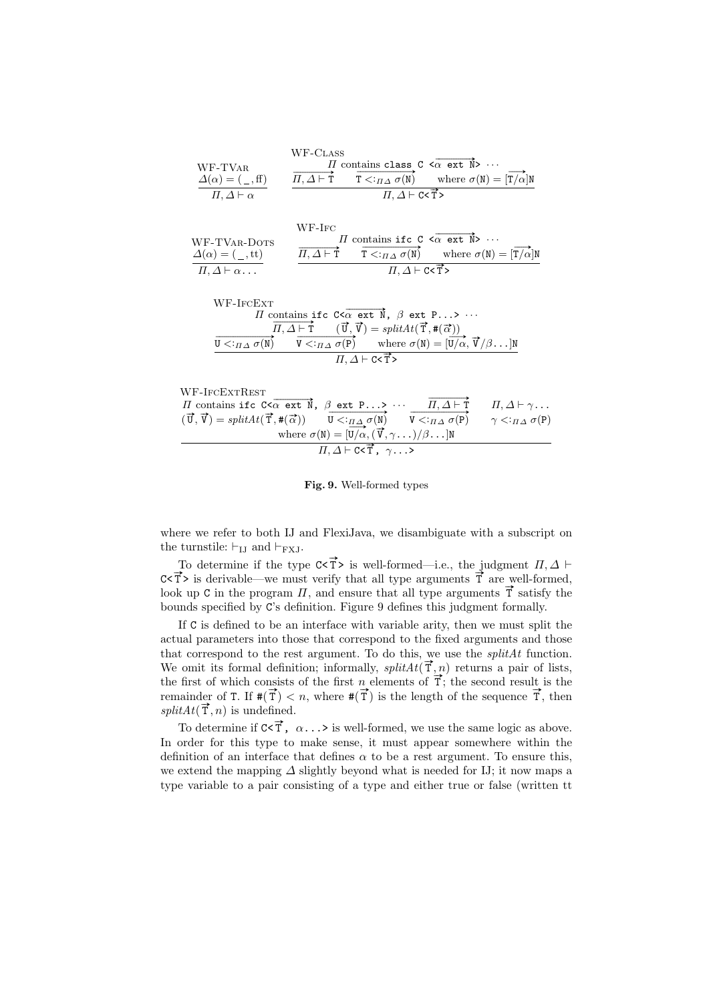|                                   | WF-CLASS                                                                                                                                                                  |
|-----------------------------------|---------------------------------------------------------------------------------------------------------------------------------------------------------------------------|
| WF-TVAR                           | $\Pi$ contains class C $\langle \alpha \rangle$ ext $\hat{N}$ $\cdots$                                                                                                    |
| $\Delta(\alpha) = (\_,\text{ff})$ | $\Pi, \Delta \vdash \acute{\mathrm{T}} \qquad \mathrm{T} < \!\!\cdot\! \cdot_{\Pi \Delta} \sigma(\mathtt{N})$ where $\sigma(\mathtt{N}) = [\mathrm{T}/\alpha] \mathtt{N}$ |
| $\Pi$ . $\Delta \vdash \alpha$    | $\Pi, \Delta \vdash c < \overrightarrow{T}$                                                                                                                               |

|                                    | WF-IfC |                                                      |                                                                                                                                                                               |
|------------------------------------|--------|------------------------------------------------------|-------------------------------------------------------------------------------------------------------------------------------------------------------------------------------|
| WF-TVAR-DOTS                       |        | $\Pi$ contains if c $C \leq \alpha$ ext $N > \cdots$ |                                                                                                                                                                               |
| $\Delta(\alpha) = (\_, \text{tt})$ |        |                                                      | $\overline{\Pi}, \Delta \vdash \overline{\mathbf{T}}$ $\top \leq \overline{\mathbf{T}} \Delta \sigma(\mathbb{N})$ where $\sigma(\mathbb{N}) = [\mathbf{T}/\alpha] \mathbb{N}$ |
| $\Pi, \Delta \vdash \alpha \dots$  |        | $\Pi, \Delta \vdash c < \vec{T}$ >                   |                                                                                                                                                                               |

| WF-IFCEXT |                                             |                                                                                                                                                                             |
|-----------|---------------------------------------------|-----------------------------------------------------------------------------------------------------------------------------------------------------------------------------|
|           |                                             | $\Pi$ contains if c C< $\alpha$ ext $\mathbb{N}$ , $\beta$ ext P>                                                                                                           |
|           |                                             | $\overrightarrow{\Pi, \Delta \vdash T}$ $(\overrightarrow{\mathbf{U}}, \overrightarrow{\mathbf{V}}) = splitAt(\overrightarrow{\mathbf{T}}, \#(\overrightarrow{\alpha}))$    |
|           |                                             | $\overrightarrow{U \leq H \triangle \sigma(N)}$ $\overrightarrow{V \leq H \triangle \sigma(P)}$ where $\sigma(N) =  \overrightarrow{U/\alpha}, \overrightarrow{V}/\beta N $ |
|           | $\Pi, \Delta \vdash c < \overrightarrow{T}$ |                                                                                                                                                                             |

| WF-IFCEXTREST                                                                                                                                                                                                    |  |
|------------------------------------------------------------------------------------------------------------------------------------------------------------------------------------------------------------------|--|
| $\Pi$ contains if c C< $\alpha$ ext $\vec{\mathbb{N}}, \ \beta$ ext P> $\Pi, \Delta \vdash \vec{\mathbb{T}}$ $\Pi, \Delta \vdash \gamma$                                                                         |  |
| $(\vec{U}, \vec{V}) = \text{splitAt}(\vec{T}, \#(\vec{\alpha})) \qquad \overline{U \leq_{\mathit{IIA}} \sigma(N)} \qquad \overline{V \leq_{\mathit{IIA}} \sigma(P)} \qquad \gamma \leq_{\mathit{IIA}} \sigma(P)$ |  |
| where $\sigma(N) = [\overrightarrow{U/\alpha}, (\overrightarrow{V}, \gamma \dots)/\beta \dots]N$                                                                                                                 |  |
| $\Pi, \Delta \vdash \mathsf{C} \leq \vec{\mathsf{T}}, \gamma \ldots$                                                                                                                                             |  |

Fig. 9. Well-formed types

where we refer to both IJ and FlexiJava, we disambiguate with a subscript on the turnstile:  $\vdash_{IJ}$  and  $\vdash_{FXJ}$ .

To determine if the type  $\mathsf{C}\leq\vec{\mathsf{T}}$ > is well-formed—i.e., the judgment  $\Pi,\Delta \vdash$  $C \leq \vec{T}$  is derivable—we must verify that all type arguments  $\vec{T}$  are well-formed, look up C in the program  $\Pi$ , and ensure that all type arguments  $\vec{T}$  satisfy the bounds specified by C's definition. Figure 9 defines this judgment formally.

If C is defined to be an interface with variable arity, then we must split the actual parameters into those that correspond to the fixed arguments and those that correspond to the rest argument. To do this, we use the  $splitAt$  function. that correspond to the rest argument. To do this, we use the *spittAt* function.<br>We omit its formal definition; informally,  $splitAt(\vec{T}, n)$  returns a pair of lists, the first of which consists of the first n elements of  $\vec{\tau}$ ; the second result is the the first of which consists of the first *n* elements of 1; the second result is the remainder of T. If  $\#\left(\vec{T}\right) < n$ , where  $\#\left(\vec{T}\right)$  is the length of the sequence  $\vec{T}$ , then remainder of 1. If  $\mathcal{H}(1) <$ <br>split $At(\vec{T}, n)$  is undefined.

To determine if  $C \leq \vec{T}$ ,  $\alpha \dots$ > is well-formed, we use the same logic as above. In order for this type to make sense, it must appear somewhere within the definition of an interface that defines  $\alpha$  to be a rest argument. To ensure this, we extend the mapping  $\Delta$  slightly beyond what is needed for IJ; it now maps a type variable to a pair consisting of a type and either true or false (written tt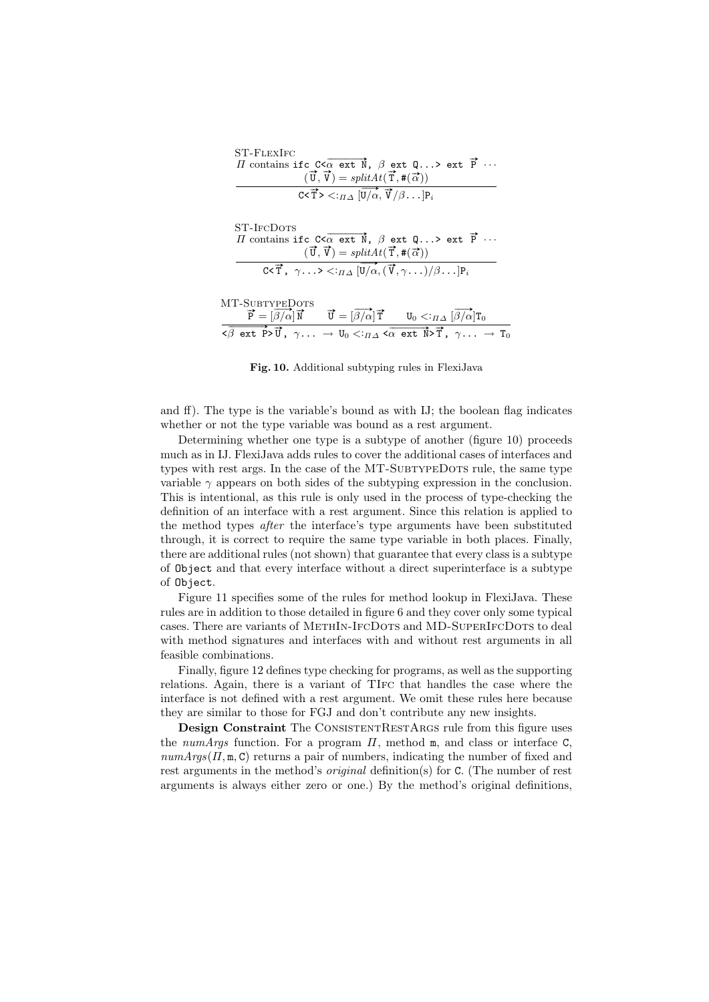| ST-FlexIfc                                                                                                                                                                                                                                                                                      |
|-------------------------------------------------------------------------------------------------------------------------------------------------------------------------------------------------------------------------------------------------------------------------------------------------|
| $\Pi$ contains if c C< $\alpha$ ext $\overrightarrow{\mathbb{N}}, \ \beta$ ext Q> ext $\overrightarrow{P} \cdots$                                                                                                                                                                               |
| $(\vec{U}, \vec{V}) = splitAt(\vec{T}, \#(\vec{\alpha}))$                                                                                                                                                                                                                                       |
| $C < \overrightarrow{T} > <:_{\Pi A} \overrightarrow{ U/\alpha}, \overrightarrow{V}/\beta \overrightarrow{ P_i }$                                                                                                                                                                               |
|                                                                                                                                                                                                                                                                                                 |
| ST-IFCDOTS                                                                                                                                                                                                                                                                                      |
| <i>II</i> contains if c $C \lt \overline{\alpha}$ ext $\overrightarrow{\mathbb{N}}$ , $\beta$ ext $\mathbb{Q} \ldots$ axt $\overrightarrow{P} \cdots$                                                                                                                                           |
| $(\vec{U}, \vec{V}) = splitAt(\vec{T}, \#(\vec{\alpha}))$                                                                                                                                                                                                                                       |
| $C < \vec{T}$ , $\gamma \dots > \frac{1}{4} \sqrt{U/\alpha}, (\vec{V}, \gamma \dots)/\beta \dots  P_i$                                                                                                                                                                                          |
|                                                                                                                                                                                                                                                                                                 |
| MT-SUBTYPEDOTS                                                                                                                                                                                                                                                                                  |
| $\vec{P} = [\vec{\beta}/\alpha]\vec{N}$ $\vec{U} = [\vec{\beta}/\alpha]\vec{T}$ $U_0 < \pi \Delta \left[\vec{\beta}/\alpha\right]T_0$                                                                                                                                                           |
| $\langle \overrightarrow{\beta} \text{ ext } \overrightarrow{P} \rangle \overrightarrow{U}$ , $\gamma \dots \rightarrow U_0 \langle \overrightarrow{\beta} \rangle \langle \overrightarrow{\alpha} \text{ ext } \overrightarrow{N} \rangle \overrightarrow{T}$ , $\gamma \dots \rightarrow T_0$ |
|                                                                                                                                                                                                                                                                                                 |

Fig. 10. Additional subtyping rules in FlexiJava

and ff). The type is the variable's bound as with IJ; the boolean flag indicates whether or not the type variable was bound as a rest argument.

Determining whether one type is a subtype of another (figure 10) proceeds much as in IJ. FlexiJava adds rules to cover the additional cases of interfaces and types with rest args. In the case of the MT-SUBTYPEDOTS rule, the same type variable  $\gamma$  appears on both sides of the subtyping expression in the conclusion. This is intentional, as this rule is only used in the process of type-checking the definition of an interface with a rest argument. Since this relation is applied to the method types after the interface's type arguments have been substituted through, it is correct to require the same type variable in both places. Finally, there are additional rules (not shown) that guarantee that every class is a subtype of Object and that every interface without a direct superinterface is a subtype of Object.

Figure 11 specifies some of the rules for method lookup in FlexiJava. These rules are in addition to those detailed in figure 6 and they cover only some typical cases. There are variants of METHIN-IFCDOTS and MD-SUPERIFCDOTS to deal with method signatures and interfaces with and without rest arguments in all feasible combinations.

Finally, figure 12 defines type checking for programs, as well as the supporting relations. Again, there is a variant of TIfc that handles the case where the interface is not defined with a rest argument. We omit these rules here because they are similar to those for FGJ and don't contribute any new insights.

**Design Constraint** The CONSISTENTRESTARGS rule from this figure uses the numArgs function. For a program  $\Pi$ , method m, and class or interface C,  $numArgs(\Pi, \mathfrak{m}, \mathcal{C})$  returns a pair of numbers, indicating the number of fixed and rest arguments in the method's *original* definition(s) for C. (The number of rest arguments is always either zero or one.) By the method's original definitions,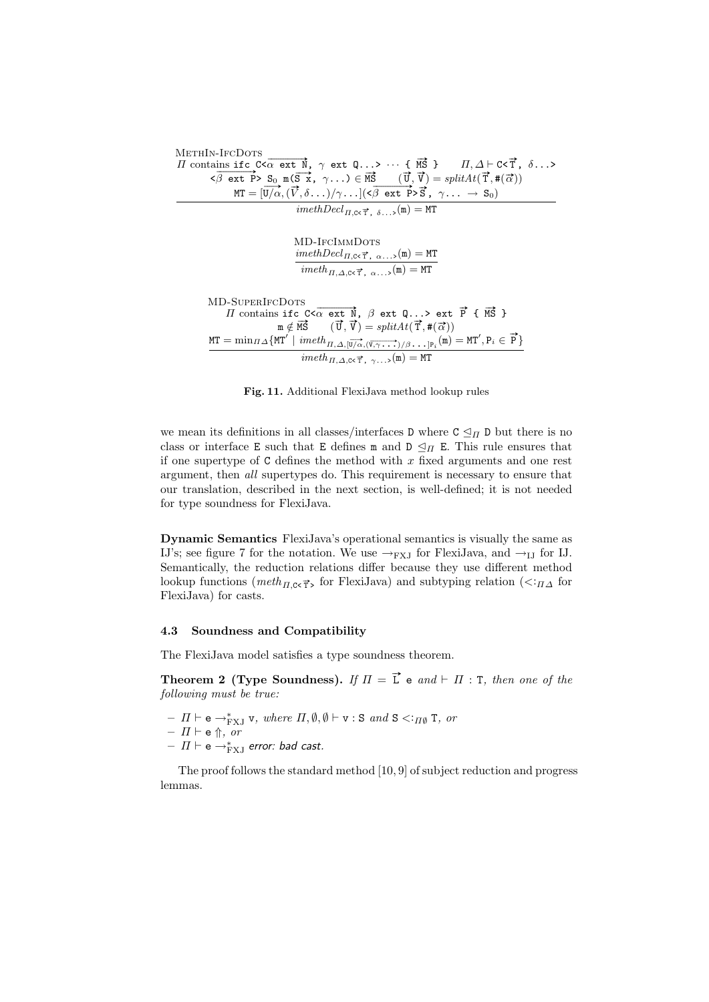| METHIN-IFCDOTS                                                                                                                                                                                                                                                                                                                                                                        |
|---------------------------------------------------------------------------------------------------------------------------------------------------------------------------------------------------------------------------------------------------------------------------------------------------------------------------------------------------------------------------------------|
| $\Pi$ contains if c C< $\alpha$ ext $\hat{\mathbb{N}}$ , $\gamma$ ext Q>  { $\hat{\mathbb{N}}$ } $\Pi$ , $\Delta \vdash$ C< $\vec{\Upsilon}$ , $\delta$ ><br>$\overrightarrow{A}$ ext P> S <sub>0</sub> m( $\overrightarrow{S}$ x, $\gamma$ ) $\in \overrightarrow{MS}$ ( $\overrightarrow{U}$ , $\overrightarrow{V}$ ) = split $At(\overrightarrow{T}, \#(\overrightarrow{\alpha}))$ |
|                                                                                                                                                                                                                                                                                                                                                                                       |
| MT = $[\overrightarrow{U/\alpha}, (\overrightarrow{V}, \delta \dots)/\gamma \dots]$ (< $\overrightarrow{\beta}$ ext P>S, $\gamma \dots \rightarrow S_0$ )                                                                                                                                                                                                                             |
| $imeth Decl_{\Pi, \text{C}\leq \overrightarrow{T}}, \delta>(m) = MT$                                                                                                                                                                                                                                                                                                                  |
|                                                                                                                                                                                                                                                                                                                                                                                       |
| MD-IFCIMMDOTS                                                                                                                                                                                                                                                                                                                                                                         |
| $imethDecl_{\Pi,\mathbb{C}\leq\vec{\mathbb{T}}}$ , $_{\alpha,\ldots}(\mathbb{m}) = \mathbb{M}$ T                                                                                                                                                                                                                                                                                      |
| $\overline{imeth}_{\Pi,\Delta,\mathbb{C}\leq \overrightarrow{T}}$ , $\alpha$ , $(\mathbb{m}) = \mathbb{M}$                                                                                                                                                                                                                                                                            |
|                                                                                                                                                                                                                                                                                                                                                                                       |
| <b>MD-SUPERIFCDOTS</b>                                                                                                                                                                                                                                                                                                                                                                |
| <i>II</i> contains if c C< $\alpha$ ext N, $\beta$ ext Q> ext P { MS }                                                                                                                                                                                                                                                                                                                |
| $m \notin \overrightarrow{MS}$ $(\overrightarrow{U}, \overrightarrow{V}) = splitAt(\overrightarrow{T}, \#(\overrightarrow{\alpha}))$                                                                                                                                                                                                                                                  |
| $MT = \min_{\Pi \Delta} \{MT' \mid imeth_{\Pi, \Delta, [\overrightarrow{U/\alpha}, (\overrightarrow{V}, \gamma \ldots)/\beta \ldots] P_i}(\mathfrak{m}) = MT', P_i \in \overrightarrow{P}\}\$                                                                                                                                                                                         |
| $imeth_{\Pi,\Delta,\mathbb{C}\leq\vec{\mathbb{T}}}$ , $\gamma$ , (m) = MT                                                                                                                                                                                                                                                                                                             |

Fig. 11. Additional FlexiJava method lookup rules

we mean its definitions in all classes/interfaces D where  $C \leq_H D$  but there is no class or interface E such that E defines m and  $D \leq \Pi$  E. This rule ensures that if one supertype of  $C$  defines the method with  $x$  fixed arguments and one rest argument, then all supertypes do. This requirement is necessary to ensure that our translation, described in the next section, is well-defined; it is not needed for type soundness for FlexiJava.

Dynamic Semantics FlexiJava's operational semantics is visually the same as IJ's; see figure 7 for the notation. We use  $\rightarrow_{\text{FXJ}}$  for FlexiJava, and  $\rightarrow_{\text{IJ}}$  for IJ. Semantically, the reduction relations differ because they use different method lookup functions (meth<sub>n,Cos</sub>  $\vec{r}$  for FlexiJava) and subtyping relation ( $\langle \vec{r} \rangle$  for FlexiJava) for casts.

### 4.3 Soundness and Compatibility

The FlexiJava model satisfies a type soundness theorem.

**Theorem 2 (Type Soundness).** If  $\Pi = \vec{L}$  e and  $\vdash \Pi$  : T, then one of the following must be true:

- $-I\to e \rightarrow_{FXJ}^* v$ , where  $\Pi, \emptyset, \emptyset \vdash v : S \text{ and } S \leq_{T\emptyset} T$ , or  $\Pi \vdash$  e  $\Uparrow$ , or
- $\Pi \vdash$  e  $\rightarrow^*_{\text{FXJ}}$  error: bad cast.

The proof follows the standard method [10, 9] of subject reduction and progress lemmas.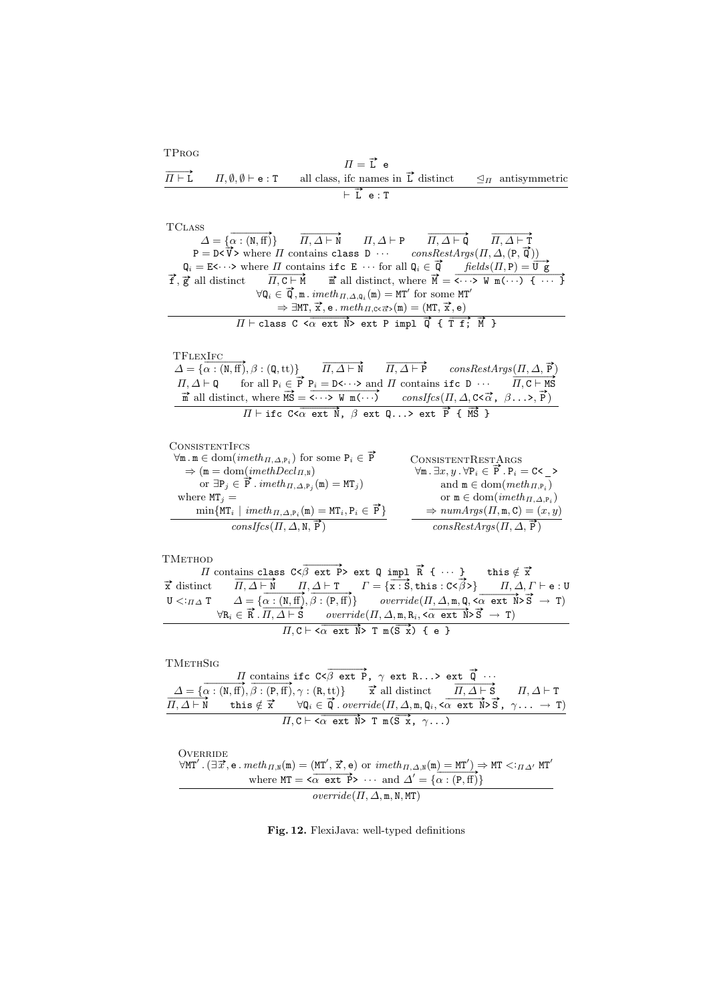TPROG  
\n
$$
\overline{H} = \overrightarrow{L} e
$$
\n
$$
\overrightarrow{H \vdash L} \qquad \overrightarrow{H, \emptyset, \emptyset \vdash e : T} \qquad \text{all class, if c names in } \overrightarrow{L} \text{ distinct } \leq_{\overrightarrow{H}} \text{ antisymmetric } \vdash \overrightarrow{L} e : T
$$

TClass

TULASS

\n
$$
\Delta = \{\overline{\alpha} : (\overline{N}, \overline{f})\} \qquad \overline{\Pi}, \Delta \vdash \overline{N} \qquad \Pi, \Delta \vdash P \qquad \overline{\Pi}, \Delta \vdash \overline{q} \qquad \overline{\Pi}, \Delta \vdash \overline{T}
$$
\n
$$
P = D < \overline{V} > \text{ where } \Pi \text{ contains class } D \cdots \qquad \text{consRestArgs}(\Pi, \Delta, (P, \overline{Q}))
$$
\n
$$
Q_i = E < \cdots > \text{ where } \Pi \text{ contains } \text{if } c \in \cdots \text{ for all } Q_i \in \overline{Q} \qquad \text{fields}(\Pi, P) = \overline{U} \overline{g}
$$
\n
$$
\overline{f}, \overline{g} \text{ all distinct } \overline{\Pi}, c \vdash \overline{M} \qquad \overline{m} \text{ all distinct, where } \overline{M} = \langle \cdots \rangle \quad W \quad \overline{m} (\cdots) \quad \{ \cdots \}
$$
\n
$$
\forall Q_i \in \overline{Q}, \overline{m} \dots \text{in } \text{reth}_{\Pi, \Delta, Q_i}(\overline{m}) = M \text{ for some } M \text{ for } \Delta \}
$$
\n
$$
\Rightarrow \exists M \text{ or } \overline{x}, e \text{ in } \text{reth}_{\Pi, c < \overline{\alpha} \rangle}(\overline{m}) = (M \text{ or } \overline{x}, e)
$$
\n
$$
\Pi \vdash \text{class } C < \overline{\alpha} \text{ ext } \overline{N} \text{ s set } P \text{ impl } \overline{Q} \quad \{\overline{T} \text{ or } \overline{T} \text{ s } \overline{M}\}
$$

 $TFLEX$   $IFC \longrightarrow$ 

 $\Delta = {\alpha : (\mathbf{N}, \mathbf{f}\mathbf{f}), \beta : (\mathbf{Q}, \mathbf{t}\mathbf{t}) }$   $\overrightarrow{H, \Delta \vdash \mathbf{N}}$  $\overrightarrow{\Pi, \Delta \vdash P}$  consRestArgs $(\Pi, \Delta, \vec{P})$  $\Pi, \Delta \vdash \mathbf{Q}$  for all  $\mathbf{P}_i \in \mathbf{P}$   $\mathbf{P}_i = \mathbf{D} \cdot \cdot \cdot \cdot$  and  $\Pi$  contains if c  $\mathbf{D} \cdot \cdot \cdot \cdot \cdot \cdot \overline{\Pi}, \mathbf{C} \vdash \mathbf{M}$  $\vec{m}$  all distinct, where  $\vec{MS} = \vec{R} \cdot \vec{r} + \vec{r} \cdot \vec{r} - \vec{r} \cdot \vec{r}$  contains it c  $\vec{B} \cdot \vec{r}$  and  $\vec{r}$  consider  $\vec{r}$  consider  $\vec{r}$ ,  $\vec{r}$ ,  $\vec{r}$ ,  $\vec{r}$ ,  $\vec{r}$  $\Pi$  ifc C< $\alpha$  ext  $\overrightarrow{N}$ ,  $\beta$  ext Q...> ext  $\overrightarrow{P}$  {  $\overrightarrow{MS}$  }

**CONSISTENTIFCS** 

ConsistencyTERS

\n
$$
\forall \mathbf{m} \in \mathbf{m} \in \text{dom}(imeth_{\Pi,\Delta,\mathbf{P}_i}) \text{ for some } \mathbf{P}_i \in \mathbf{P}
$$
\n
$$
\Rightarrow (\mathbf{m} = \text{dom}(imeth_{\Pi,\Delta,\mathbf{P}_i}) \text{ for some } \mathbf{P}_i \in \mathbf{P})
$$
\n
$$
\Rightarrow (\mathbf{m} = \text{dom}(imeth_{\Pi,\Delta,\mathbf{P}_i}) \text{ for some } \mathbf{P}_i \in \mathbf{P})
$$
\n
$$
\Rightarrow (\mathbf{m} \in \mathbf{m} \in \mathbf{m} \in \mathbf{m} \in \mathbf{m} \in \mathbf{m} \in \mathbf{m} \in \mathbf{m} \in \mathbf{m} \in \mathbf{m} \in \mathbf{m} \in \mathbf{m} \in \mathbf{m} \in \mathbf{m} \in \mathbf{m} \in \mathbf{m} \in \mathbf{m} \in \mathbf{m} \in \mathbf{m} \in \mathbf{m} \in \mathbf{m} \in \mathbf{m} \in \mathbf{m} \in \mathbf{m} \in \mathbf{m} \in \mathbf{m} \in \mathbf{m} \in \mathbf{m} \in \mathbf{m} \in \mathbf{m} \in \mathbf{m} \in \mathbf{m} \in \mathbf{m} \in \mathbf{m} \in \mathbf{m} \in \mathbf{m} \in \mathbf{m} \in \mathbf{m} \in \mathbf{m} \in \mathbf{m} \in \mathbf{m} \in \mathbf{m} \in \mathbf{m} \in \mathbf{m} \in \mathbf{m} \in \mathbf{m} \in \mathbf{m} \in \mathbf{m} \in \mathbf{m} \in \mathbf{m} \in \mathbf{m} \in \mathbf{m} \in \mathbf{m} \in \mathbf{m} \in \mathbf{m} \in \mathbf{m} \in \mathbf{m} \in \mathbf{m} \in \mathbf{m} \in \mathbf{m} \in \mathbf{m} \in \mathbf{m} \in \mathbf{m} \in \mathbf{m} \in \mathbf{m} \in \mathbf{m} \in \mathbf{m} \in \mathbf{m} \in \mathbf{m} \in \mathbf{m} \in \mathbf
$$

TMETHOD

**THETHOD**  
\n
$$
\overrightarrow{H}
$$
 contains class  $C < \overrightarrow{\beta}$  ext  $\overrightarrow{P}$  ext  $\overrightarrow{Q}$  imply  $\overrightarrow{R}$  { ... } this  $\notin \overrightarrow{X}$   
\n $\overrightarrow{X}$  distinct  $\overrightarrow{H}, \Delta \vdash \overrightarrow{N}$   $\overrightarrow{H}, \Delta \vdash T$   $\Gamma = {\overrightarrow{x} : \overrightarrow{S}, \text{ this} : C < \overrightarrow{\beta} > } \overrightarrow{H}, \Delta, \Gamma \vdash e : \overrightarrow{U}$   
\n $U <: H \Delta T$   $\Delta = {\overrightarrow{\alpha} : (\overrightarrow{N}, \overrightarrow{H}), \beta : (\overrightarrow{P}, \overrightarrow{H}) } \overrightarrow{override}(\overrightarrow{H}, \Delta, \overrightarrow{m}, \overrightarrow{Q}, < \overrightarrow{\alpha} \text{ ext } \overrightarrow{N} > \overrightarrow{S} \rightarrow T )}$   
\n $\forall R_i \in \overrightarrow{R} \cdot \overrightarrow{H}, \Delta \vdash \overrightarrow{S} \quad override(\overrightarrow{H}, \Delta, \overrightarrow{m}, R_i, < \overrightarrow{\alpha} \text{ ext } \overrightarrow{N} > \overrightarrow{S} \rightarrow T )$   
\n $\overrightarrow{H}, C \vdash \overrightarrow{\alpha} \text{ ext } \overrightarrow{N} > T \text{ m}(\overrightarrow{S} \text{ x})$  { e } }

TMethSig

**IDENTIFYG**  
\n
$$
\frac{\Pi \text{ contains } \text{if } c \text{ } C \leq \overline{\beta} \text{ ext } P, \ \gamma \text{ ext } R... > \text{ ext } \overline{Q} ...
$$
\n
$$
\frac{\Delta = \{ \alpha : (\text{N}, \text{ff}), \beta : (P, \text{ff}), \gamma : (\text{R}, \text{tt}) \}}{\Pi, \Delta \vdash \overline{\text{N}} \text{ this } \notin \overline{X} \qquad \forall Q_i \in \overline{Q} \text{. } override(\Pi, \Delta, \text{m}, Q_i, \langle \overline{\alpha} \text{ ext } \overline{\text{N}} \rangle \overline{S}, \ \gamma ... \rightarrow T)}
$$
\n
$$
\frac{\Pi, C \models \langle \overline{\alpha} \text{ ext } \overline{\text{N}} \rangle \top \text{ m}(\overline{S} \overline{\text{K}}, \ \gamma ...)
$$

O**VERRIDE**  $\forall$ MT'.  $(\exists \vec{x}, e \cdot \text{meth}_{\Pi,\text{N}}(\text{m}) = (\text{MT}', \vec{x}, e) \text{ or } \text{imeth}_{\Pi,\Delta,\text{N}}(\text{m}) = \text{MT}') \Rightarrow$ MT <:  $\pi_{\Delta}$ , MT where  $MT = \langle \overline{\alpha} \text{ ext } \overline{P} \rangle$   $\cdots$  and  $\Delta' = \{ \alpha : (P, ff) \}$  $override(\Pi, \Delta, m, N, MT)$ 

Fig. 12. FlexiJava: well-typed definitions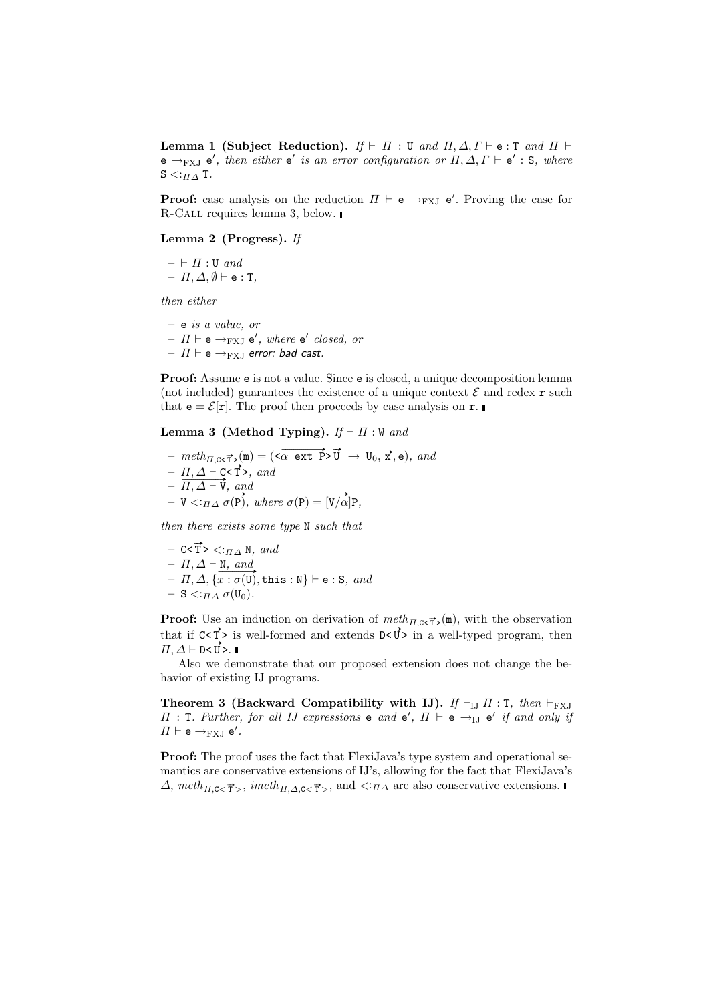**Lemma 1 (Subject Reduction).** If  $\vdash \Pi : \mathbb{U}$  and  $\Pi, \Delta, \Gamma \vdash e : \mathbb{T}$  and  $\Pi \vdash \Pi$ e  $\rightarrow_{\text{FXJ}}$  e', then either e' is an error configuration or  $\Pi, \Delta, \Gamma \vdash e' : S$ , where  $S \leq H \Delta$  T.

**Proof:** case analysis on the reduction  $\Pi \vdash e \rightarrow_{FXJ} e'$ . Proving the case for R-Call requires lemma 3, below.

### Lemma 2 (Progress). If

 $- \vdash \Pi : U \text{ and }$  $-I, \Delta, \emptyset \vdash e : T$ ,

then either

– e is a value, or  $\Pi \vdash$  e  $\rightarrow$ <sub>FXJ</sub> e', where e' closed, or  $-I\to P_{\text{FX}I}$  error: bad cast.

Proof: Assume e is not a value. Since e is closed, a unique decomposition lemma (not included) guarantees the existence of a unique context  $\mathcal E$  and redex  $\mathbf r$  such that  $e = \mathcal{E}[r]$ . The proof then proceeds by case analysis on r.

Lemma 3 (Method Typing).  $If \vdash \Pi : \mathbb{W}$  and

 $- \text{meth}_{\Pi,\text{C}\ltimes \overrightarrow{T}}(\mathfrak{m}) = (\langle \overrightarrow{\alpha} \text{ ext } \overrightarrow{P} \rangle \overrightarrow{U} \rightarrow U_0, \overrightarrow{x}, e), \text{ and}$  $- \Pi, \Delta \vdash \mathsf{C} \leq \overrightarrow{\mathsf{T}}$ , and  $\frac{H, \Delta \vdash C}{H, \Delta \vdash V, \text{ and}}$ –  $\overrightarrow{u} \leq H, \Delta \vdash v, \text{ and}$ <br> $\overrightarrow{v} \leq H, \Delta \sigma(P), \text{ where } \sigma(P) = [\overrightarrow{v}/\alpha]P,$ 

then there exists some type N such that

$$
- C<\vec{T}
$$
  $\leq$   $\therefore$   $\Pi \triangle N$ , and  
\n $- \Pi$ ,  $\triangle \vdash N$ , and  
\n $- \Pi$ ,  $\triangle$ , { $\overline{x} : \sigma(U)$ , this :  $N$ }  $\vdash$  e : S, and  
\n $- S < \therefore$   $\Pi \triangle \sigma(U_0)$ .

**Proof:** Use an induction on derivation of  $meth_{\Pi, C \leq \vec{T}}(m)$ , with the observation that if  $C \leq \vec{T}$  is well-formed and extends  $D \leq \vec{U}$  in a well-typed program, then  $\Pi$ ,  $\Delta \vdash D \leq \vec{U} > 0$ 

Also we demonstrate that our proposed extension does not change the behavior of existing IJ programs.

Theorem 3 (Backward Compatibility with IJ). If  $\vdash_{IJ} \Pi : T$ , then  $\vdash_{\text{FXJ}}$  $\Pi$ : T. Further, for all  $IJ$  expressions  $e$  and  $e'$ ,  $\Pi \vdash e \rightarrow_{IJ} e'$  if and only if  $\Pi \vdash$  e  $\rightarrow_{\text{FXJ}}$  e'.

Proof: The proof uses the fact that FlexiJava's type system and operational semantics are conservative extensions of IJ's, allowing for the fact that FlexiJava's  $\Delta$ ,  $meth_{\Pi,\mathcal{C}\lt \vec{\mathsf{T}}>}$ ,  $imeth_{\Pi,\Delta,\mathcal{C}\lt \vec{\mathsf{T}}}$ , and  $\langle \cdot \rangle_{\Pi\Delta}$  are also conservative extensions.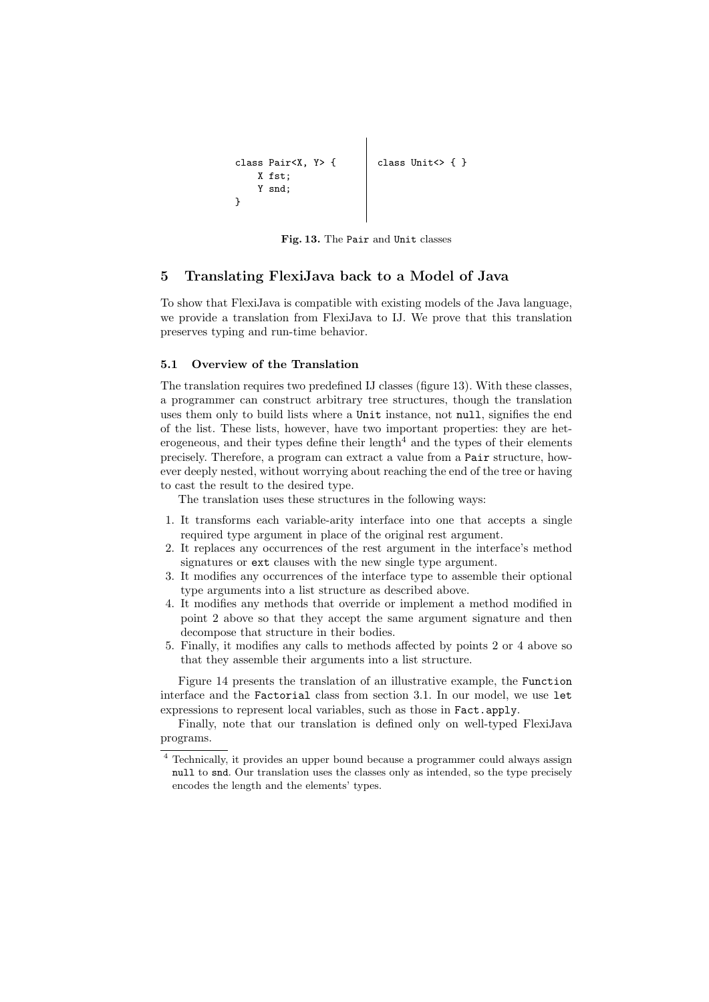```
class Pair<X, Y> {
   X fst;
   Y snd;
}
                      class Unit<> { }
```
Fig. 13. The Pair and Unit classes

### 5 Translating FlexiJava back to a Model of Java

To show that FlexiJava is compatible with existing models of the Java language, we provide a translation from FlexiJava to IJ. We prove that this translation preserves typing and run-time behavior.

#### 5.1 Overview of the Translation

The translation requires two predefined IJ classes (figure 13). With these classes, a programmer can construct arbitrary tree structures, though the translation uses them only to build lists where a Unit instance, not null, signifies the end of the list. These lists, however, have two important properties: they are heterogeneous, and their types define their length<sup>4</sup> and the types of their elements precisely. Therefore, a program can extract a value from a Pair structure, however deeply nested, without worrying about reaching the end of the tree or having to cast the result to the desired type.

The translation uses these structures in the following ways:

- 1. It transforms each variable-arity interface into one that accepts a single required type argument in place of the original rest argument.
- 2. It replaces any occurrences of the rest argument in the interface's method signatures or ext clauses with the new single type argument.
- 3. It modifies any occurrences of the interface type to assemble their optional type arguments into a list structure as described above.
- 4. It modifies any methods that override or implement a method modified in point 2 above so that they accept the same argument signature and then decompose that structure in their bodies.
- 5. Finally, it modifies any calls to methods affected by points 2 or 4 above so that they assemble their arguments into a list structure.

Figure 14 presents the translation of an illustrative example, the Function interface and the Factorial class from section 3.1. In our model, we use let expressions to represent local variables, such as those in Fact.apply.

Finally, note that our translation is defined only on well-typed FlexiJava programs.

<sup>4</sup> Technically, it provides an upper bound because a programmer could always assign null to snd. Our translation uses the classes only as intended, so the type precisely encodes the length and the elements' types.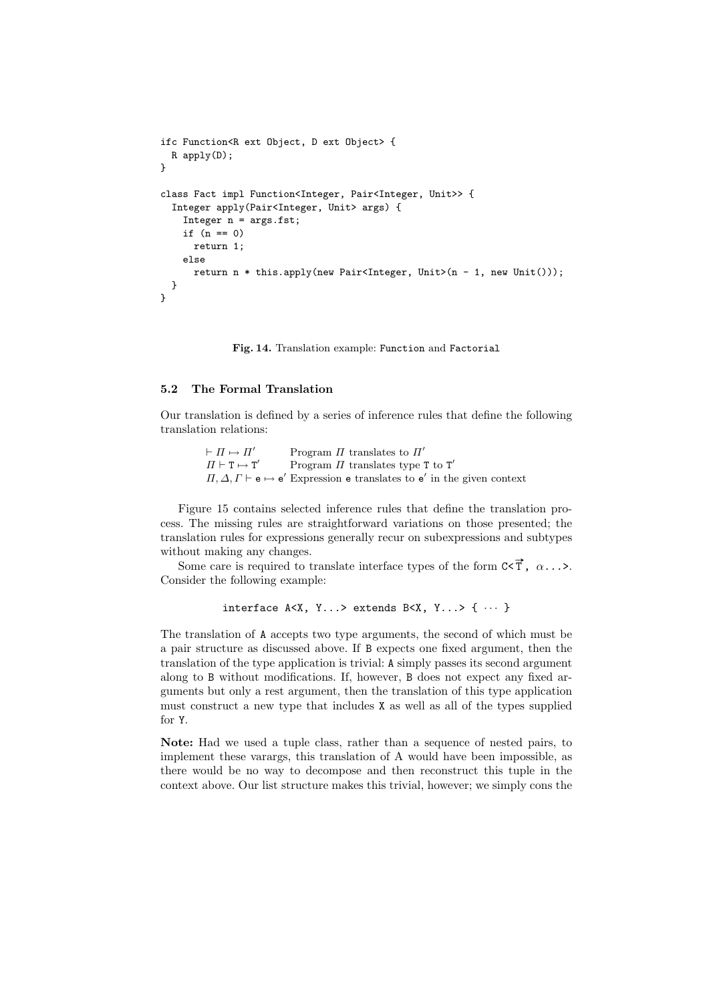```
ifc Function<R ext Object, D ext Object> {
 R apply(D);
}
class Fact impl Function<Integer, Pair<Integer, Unit>> {
  Integer apply(Pair<Integer, Unit> args) {
    Integer n = \arg s.fst;if (n == 0)return 1;
    else
      return n * this.apply(new Pair<Integer, Unit>(n - 1, new Unit()));
 }
}
```
Fig. 14. Translation example: Function and Factorial

### 5.2 The Formal Translation

Our translation is defined by a series of inference rules that define the following translation relations:

```
\vdash \Pi \mapsto \Pi' Program \Pi translates to \Pi'\Pi \vdash T \mapsto T'Program \Pi translates type T to T<sup>'</sup>
\Pi, \Delta, \Gamma \vdash e \mapsto e' Expression e translates to e' in the given context
```
Figure 15 contains selected inference rules that define the translation process. The missing rules are straightforward variations on those presented; the translation rules for expressions generally recur on subexpressions and subtypes without making any changes.

Some care is required to translate interface types of the form  $C \leq \vec{T}$ ,  $\alpha \dots$ . Consider the following example:

```
interface A < X, Y \dots > extends B < X, Y \dots > \{ \dots \}
```
The translation of A accepts two type arguments, the second of which must be a pair structure as discussed above. If B expects one fixed argument, then the translation of the type application is trivial: A simply passes its second argument along to B without modifications. If, however, B does not expect any fixed arguments but only a rest argument, then the translation of this type application must construct a new type that includes X as well as all of the types supplied for Y.

Note: Had we used a tuple class, rather than a sequence of nested pairs, to implement these varargs, this translation of A would have been impossible, as there would be no way to decompose and then reconstruct this tuple in the context above. Our list structure makes this trivial, however; we simply cons the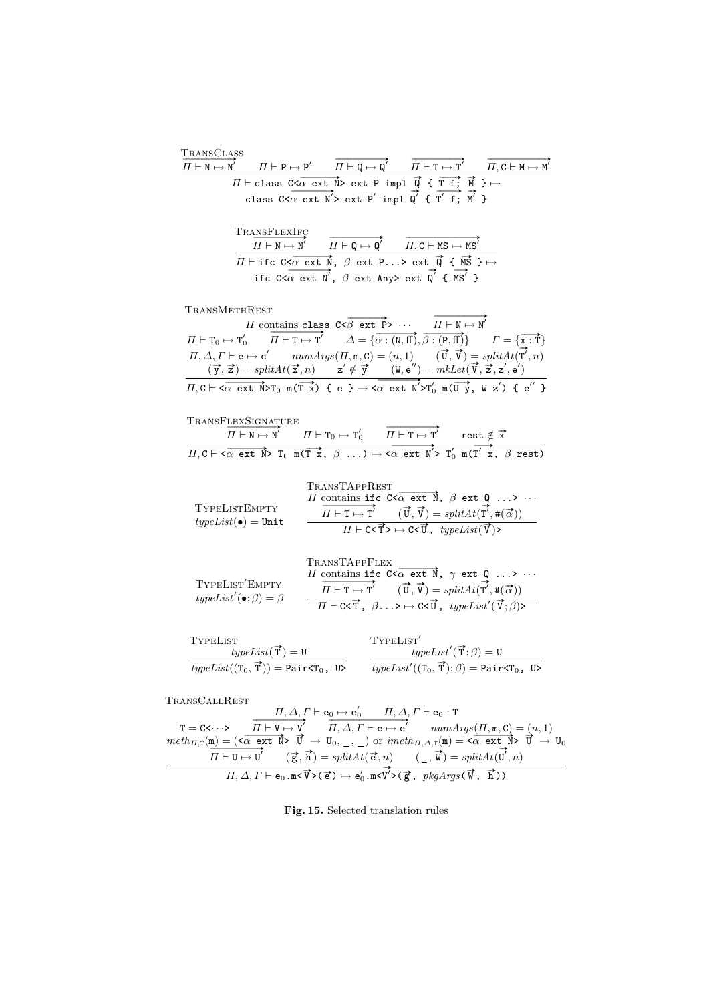| TRANSCLASS<br>$\Pi \vdash N \mapsto N'$              | $\Pi \vdash P \mapsto P'$ $\Pi \vdash Q \mapsto Q'$ $\Pi \vdash T \mapsto T'$ $\Pi, C \vdash M \mapsto M'$                                                                                                                                                                                                                                                                                                                                                                                                                                                                                                                                                                                                                                                                                                                                                                                                                                                                                                                                                                                                                                                                                                                                                                                                                                                                               |  |
|------------------------------------------------------|------------------------------------------------------------------------------------------------------------------------------------------------------------------------------------------------------------------------------------------------------------------------------------------------------------------------------------------------------------------------------------------------------------------------------------------------------------------------------------------------------------------------------------------------------------------------------------------------------------------------------------------------------------------------------------------------------------------------------------------------------------------------------------------------------------------------------------------------------------------------------------------------------------------------------------------------------------------------------------------------------------------------------------------------------------------------------------------------------------------------------------------------------------------------------------------------------------------------------------------------------------------------------------------------------------------------------------------------------------------------------------------|--|
|                                                      | $\frac{1}{\prod \vdash \text{class } C \leq \alpha \text{ ext } N} \Rightarrow \text{ext } P \text{ impl } \overrightarrow{Q} \left\{ \overrightarrow{T} \overrightarrow{f} \right\} \Rightarrow \text{class } C \leq \alpha \text{ ext } N' > \text{ext } P' \text{ impl } \overrightarrow{Q} \left\{ \overrightarrow{T} \overrightarrow{f} \right\} \Rightarrow \overrightarrow{M} \Rightarrow P' \text{ obj } \overrightarrow{Q} \left\{ \overrightarrow{T} \left( \overrightarrow{f} \right) \right\}$                                                                                                                                                                                                                                                                                                                                                                                                                                                                                                                                                                                                                                                                                                                                                                                                                                                                               |  |
|                                                      |                                                                                                                                                                                                                                                                                                                                                                                                                                                                                                                                                                                                                                                                                                                                                                                                                                                                                                                                                                                                                                                                                                                                                                                                                                                                                                                                                                                          |  |
|                                                      | TRANSFLEXIFC<br>$\overrightarrow{H} \vdash \mathbb{N} \rightarrow \mathbb{N}'$ $\overrightarrow{H} \vdash \mathbb{Q} \mapsto \mathbb{Q}'$ $\overrightarrow{H, C} \vdash \mathbb{MS} \mapsto \mathbb{MS}'$<br>$\overrightarrow{\Pi \vdash \text{ifc C}\text{<}\alpha \text{ ext N}}, \ \beta \text{ ext P} \text{>} \text{ ext } \overrightarrow{\mathbb{Q}} \in \overrightarrow{\text{MS }} \rightarrow \rightarrow$<br>ifc $C < \alpha$ ext $N'$ , $\beta$ ext Any> ext $\overrightarrow{Q}'$ { $\overrightarrow{MS}'$ }                                                                                                                                                                                                                                                                                                                                                                                                                                                                                                                                                                                                                                                                                                                                                                                                                                                                |  |
| TRANSMETHREST                                        | $\begin{array}{ccc} \textit{II contains class } & \textsf{C}\texttt{<}\overrightarrow{\beta} \text{ ext } \overrightarrow{P} \texttt{>}\cdots \texttt{ } \overrightarrow{\textit{II} \vdash N \mapsto N'} \\ \textit{II} \vdash \texttt{T}_0 \mapsto \texttt{T}' & \overrightarrow{\textit{II} \vdash \texttt{T} \rightarrow T'} & \Delta = \{\overrightarrow{\alpha} : (\texttt{N},\texttt{ff}), \overrightarrow{\beta} : (\texttt{P},\texttt{ff})\} & \textit{I'} = \{\overrightarrow{\texttt{x}}: \overrightarrow{\texttt{I}}\} \end{array}$<br>$\Pi, \Delta, \Gamma \vdash \mathtt{e} \mapsto \mathtt{e}' \qquad \textit{numArgs}( \Pi, \mathtt{m}, \mathtt{C}) = (n, 1) \qquad (\overrightarrow{\mathtt{U}}, \overrightarrow{\mathtt{V}}) = \textit{splitAt}(\mathtt{T}^7, n)$<br>$(\overrightarrow{\mathbf{y}},\overrightarrow{\mathbf{z}})=\operatorname{splitAt}(\overrightarrow{\mathbf{x}},n)\qquad \mathbf{z}'\notin\overrightarrow{\mathbf{y}}\qquad (\mathbf{W},\mathbf{e}'')=\operatorname{mkLet}(\overrightarrow{\mathbf{V}},\overrightarrow{\mathbf{z}},\mathbf{z}',\mathbf{e}')$<br>$\Pi, C \vdash \stackrel{\cdot}{\longleftarrow} \overrightarrow{ext \text{ with } T_0 \text{ in } (T \text{ x})} \text{ } \{e\} \mapsto \stackrel{\cdot}{\longleftarrow} \overrightarrow{ext \text{ in } V} \supset T'_0 \text{ in } (U \text{ y, } W \text{ z'}) \text{ } \{e''\}$ |  |
| TRANSFLEXSIGNATURE                                   | $\overrightarrow{\varPi\vdash{\tt N}\mapsto{\tt N}'}\qquad\varPi\vdash{\tt T}_0\mapsto{\tt T}'_0\qquad\overrightarrow{\varPi\vdash{\tt T}\mapsto{\tt T}'}\qquad\text{rest}\notin\overrightarrow{\tt x}$<br>$\overrightarrow{\Pi, C} \vdash \overrightarrow{\alpha}$ ext $\overrightarrow{N}$ $T_0$ $\overrightarrow{\mathfrak{n}}$ $(\overrightarrow{T x}, \beta \dots) \mapsto \overrightarrow{\alpha}$ ext $\overrightarrow{N'}$ $T'_0$ $\overrightarrow{\mathfrak{n}}$ $(\overrightarrow{T}' \overrightarrow{x}, \beta \text{ rest})$                                                                                                                                                                                                                                                                                                                                                                                                                                                                                                                                                                                                                                                                                                                                                                                                                                                 |  |
| TYPELISTEMPTY<br>$typeList(\bullet) = \mathtt{Unit}$ | TRANSTAPPREST<br><i>II</i> contains if c C< $\overrightarrow{\alpha}$ ext $\overrightarrow{\mathbb{N}}$ , $\beta$ ext Q ><br>$\overrightarrow{\Pi \vdash \mathtt{T} \mapsto \mathtt{T}' }$ $(\overrightarrow{\mathtt{U}}, \overrightarrow{\mathtt{V}}) = splitAt(\overrightarrow{\mathtt{T}'}, \#(\overrightarrow{\alpha}))$<br>$\Pi \vdash C \leq \vec{T} \geq \rightarrowtail C \leq \vec{U}$ , $typeList(\vec{V}) \geq$                                                                                                                                                                                                                                                                                                                                                                                                                                                                                                                                                                                                                                                                                                                                                                                                                                                                                                                                                               |  |
| TYPELIST'EMPTY<br>$typeList'(\bullet;\beta)=\beta$   | TRANSTAPPFLEX<br>I KANS LAPPLES<br>$\Pi$ contains if $c$ $<\alpha$ ext $\vec{N}$ , $\gamma$ ext $\vec{Q}$ ><br>$\Pi \vdash T \mapsto T'$ $(\vec{U}, \vec{V}) = splitAt(T', \#(\vec{\alpha}))$<br>$\Pi \vdash \mathsf{C} \leq \vec{\mathsf{T}}, \ \beta \ldots \geq \mapsto \mathsf{C} \leq \vec{\mathsf{U}}, \ \ \text{typeList}'(\vec{\mathsf{V}}; \beta) \geq$                                                                                                                                                                                                                                                                                                                                                                                                                                                                                                                                                                                                                                                                                                                                                                                                                                                                                                                                                                                                                         |  |
| <b>TYPELIST</b>                                      | TYPELIST'<br>$typeList'(\vec{\mathbf{T}};\beta)=\mathbf{U}$<br>$typeList(\vec{T})=U$<br>$\overline{typeList((T_0, \vec{T}))} = \overline{Pair} \leq T_0, \vec{U}$ $\overline{typeList'((T_0, \vec{T}); \beta)} = \overline{Pair} \leq T_0, \vec{U}$                                                                                                                                                                                                                                                                                                                                                                                                                                                                                                                                                                                                                                                                                                                                                                                                                                                                                                                                                                                                                                                                                                                                      |  |
| TRANSCALLREST                                        | $\begin{array}{c} \n\overline{H}, \Delta, \Gamma \vdash \mathbf{e}_0 \mapsto \mathbf{e}'_0 \qquad \overline{H}, \Delta, \Gamma \vdash \mathbf{e}_0 : \mathsf{T} \ \overline{H} = \mathsf{C} \mathsf{C} \cdots > \qquad \overline{H \vdash \mathsf{V} \mapsto \mathsf{V}'} \qquad \overline{H}, \Delta, \Gamma \vdash \mathbf{e} \mapsto \mathbf{e}' \qquad numArgs(\Pi, \mathsf{m}, \mathsf{C}) = (n, 1) \ \overline{m} \in \mathit{th}_{\Pi, \mathsf{T}}(\mathsf{m}) = (\mathsf{c} \overline$<br>$\overrightarrow{\Pi\vdash\mathtt{U}\mapsto\mathtt{U}'}\qquad(\overrightarrow{\mathtt{g}},\overrightarrow{\mathtt{h}})=\underline{\mathit{split}}At(\overrightarrow{\mathtt{e}},n)\qquad(\_,\overrightarrow{\mathtt{W}})=\mathit{split}At(\overrightarrow{\mathtt{U}'},n)$                                                                                                                                                                                                                                                                                                                                                                                                                                                                                                                                                                                                             |  |

 $\overrightarrow{\Pi,\Delta,\Gamma \vdash \mathsf{e}_0.\mathtt{m}\triangleleft\overrightarrow{V}\triangleleft\overrightarrow{\mathsf{e}})\mapsto \mathsf{e}'_0.\mathtt{m}\triangleleft\overrightarrow{\mathsf{e}}$  $\overrightarrow{v}>(\overrightarrow{g}, \overrightarrow{pkgArgs(\overrightarrow{W}, \overrightarrow{h}))})$ 

Fig. 15. Selected translation rules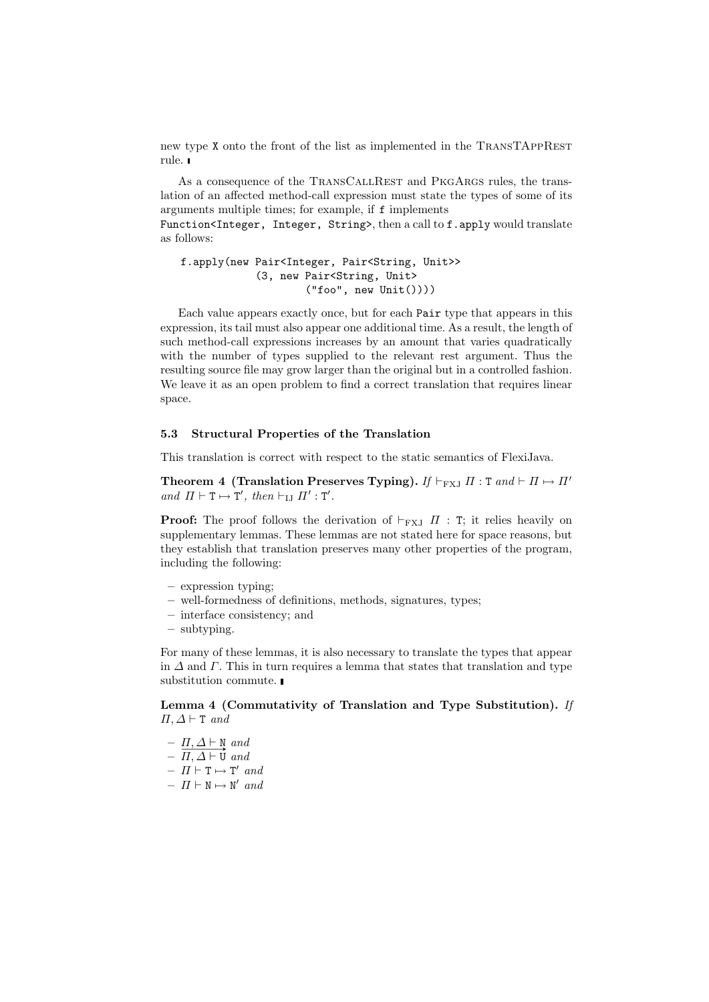new type X onto the front of the list as implemented in the TransTAppRest rule.

As a consequence of the TRANSCALLREST and PKGARGS rules, the translation of an affected method-call expression must state the types of some of its arguments multiple times; for example, if f implements

Function<Integer, Integer, String>, then a call to f.apply would translate as follows:

### f.apply(new Pair<Integer, Pair<String, Unit>> (3, new Pair<String, Unit>  $("foo", new Unit())$ )

Each value appears exactly once, but for each Pair type that appears in this expression, its tail must also appear one additional time. As a result, the length of such method-call expressions increases by an amount that varies quadratically with the number of types supplied to the relevant rest argument. Thus the resulting source file may grow larger than the original but in a controlled fashion. We leave it as an open problem to find a correct translation that requires linear space.

### 5.3 Structural Properties of the Translation

This translation is correct with respect to the static semantics of FlexiJava.

Theorem 4 (Translation Preserves Typing). If  $\vdash_{\text{FXI}} \Pi : \text{T}$  and  $\vdash \Pi \mapsto \Pi'$ and  $\Pi \vdash T \mapsto T'$ , then  $\vdash_{IJ} \Pi' : T'$ .

**Proof:** The proof follows the derivation of  $\vdash_{\text{FXJ}} \Pi$  : T; it relies heavily on supplementary lemmas. These lemmas are not stated here for space reasons, but they establish that translation preserves many other properties of the program, including the following:

- expression typing;
- well-formedness of definitions, methods, signatures, types;
- interface consistency; and
- subtyping.

For many of these lemmas, it is also necessary to translate the types that appear in  $\Delta$  and  $\Gamma$ . This in turn requires a lemma that states that translation and type substitution commute.

Lemma 4 (Commutativity of Translation and Type Substitution). If  $\Pi, \Delta \vdash T$  and

- $-I, \Delta \vdash N$  and
- $\frac{H, \Delta \vdash N}{H, \Delta \vdash U}$  and
- $\Pi \vdash \mathtt{T} \mapsto \mathtt{T}'$  and
- $\Pi \vdash \mathbb{N} \mapsto \mathbb{N}'$  and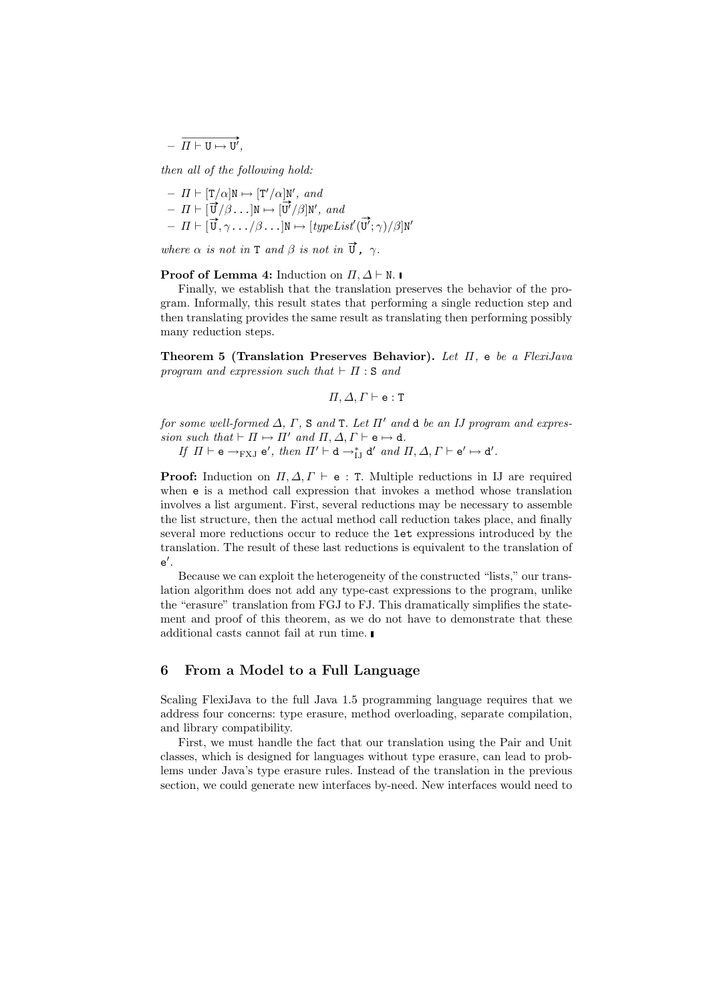–  $\overline{\phantom{a}}$  $\Pi \vdash U \mapsto U^{\tilde{\prime}},$ 

then all of the following hold:

 $-I\!\!I\vdash [T/\alpha]N \mapsto [T'/\alpha]N', \text{ and}$  $- H \vdash [1/\alpha]_N \mapsto [1/\alpha]_N$ <br>  $- H \vdash [\vec{U}/\beta \dots]_N \mapsto [\vec{U}']_N$  $\mathrm{U}^{\prime}/\beta]\mathrm{N}^{\prime}, \ and$  $-II \vdash [\vec{U}, \gamma \dots / \beta \dots] N \mapsto [typeList']$  $\rightarrow$  $(\mathtt{U}^{\prime};\gamma)/\beta]\mathtt{N}^{\prime}$ 

where  $\alpha$  is not in T and  $\beta$  is not in  $\vec{U}$ ,  $\gamma$ .

**Proof of Lemma 4:** Induction on  $\Pi, \Delta \vdash \mathbb{N}$ .

Finally, we establish that the translation preserves the behavior of the program. Informally, this result states that performing a single reduction step and then translating provides the same result as translating then performing possibly many reduction steps.

Theorem 5 (Translation Preserves Behavior). Let Π, e be a FlexiJava program and expression such that  $\vdash \Pi : S$  and

$$
\varPi,\varDelta,\varGamma\vdash {\tt e} : {\tt T}
$$

for some well-formed  $\Delta$ ,  $\Gamma$ , S and T. Let  $\Pi'$  and d be an IJ program and expression such that  $\vdash \Pi \mapsto \Pi'$  and  $\Pi, \Delta, \Gamma \vdash e \mapsto d$ .

If  $\Pi \vdash e \rightarrow_{FXJ} e'$ , then  $\Pi' \vdash d \rightarrow_{IJ}^* d'$  and  $\Pi, \Delta, \Gamma \vdash e' \mapsto d'.$ 

**Proof:** Induction on  $\Pi$ ,  $\Delta$ ,  $\Gamma \vdash e : T$ . Multiple reductions in IJ are required when e is a method call expression that invokes a method whose translation involves a list argument. First, several reductions may be necessary to assemble the list structure, then the actual method call reduction takes place, and finally several more reductions occur to reduce the let expressions introduced by the translation. The result of these last reductions is equivalent to the translation of  $e'$ .

Because we can exploit the heterogeneity of the constructed "lists," our translation algorithm does not add any type-cast expressions to the program, unlike the "erasure" translation from FGJ to FJ. This dramatically simplifies the statement and proof of this theorem, as we do not have to demonstrate that these additional casts cannot fail at run time.

### 6 From a Model to a Full Language

Scaling FlexiJava to the full Java 1.5 programming language requires that we address four concerns: type erasure, method overloading, separate compilation, and library compatibility.

First, we must handle the fact that our translation using the Pair and Unit classes, which is designed for languages without type erasure, can lead to problems under Java's type erasure rules. Instead of the translation in the previous section, we could generate new interfaces by-need. New interfaces would need to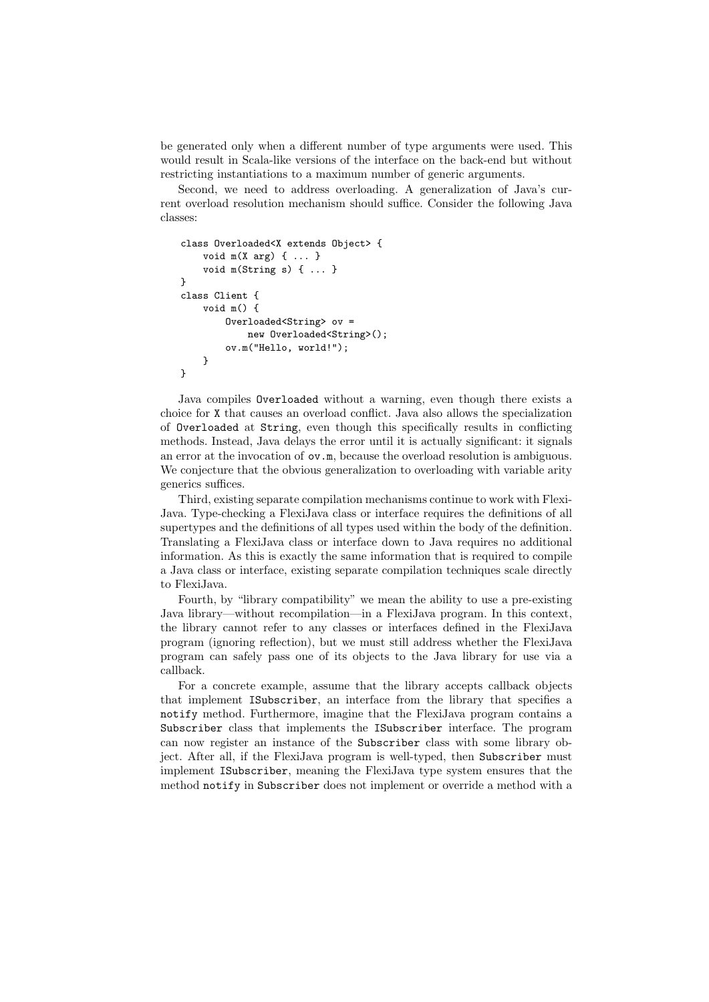be generated only when a different number of type arguments were used. This would result in Scala-like versions of the interface on the back-end but without restricting instantiations to a maximum number of generic arguments.

Second, we need to address overloading. A generalization of Java's current overload resolution mechanism should suffice. Consider the following Java classes:

```
class Overloaded<X extends Object> {
    void m(X arg) { ... }
    void m(String s) { ... }
}
class Client {
    void m() {
        Overloaded<String> ov =
            new Overloaded<String>();
        ov.m("Hello, world!");
    }
}
```
Java compiles Overloaded without a warning, even though there exists a choice for X that causes an overload conflict. Java also allows the specialization of Overloaded at String, even though this specifically results in conflicting methods. Instead, Java delays the error until it is actually significant: it signals an error at the invocation of ov.m, because the overload resolution is ambiguous. We conjecture that the obvious generalization to overloading with variable arity generics suffices.

Third, existing separate compilation mechanisms continue to work with Flexi-Java. Type-checking a FlexiJava class or interface requires the definitions of all supertypes and the definitions of all types used within the body of the definition. Translating a FlexiJava class or interface down to Java requires no additional information. As this is exactly the same information that is required to compile a Java class or interface, existing separate compilation techniques scale directly to FlexiJava.

Fourth, by "library compatibility" we mean the ability to use a pre-existing Java library—without recompilation—in a FlexiJava program. In this context, the library cannot refer to any classes or interfaces defined in the FlexiJava program (ignoring reflection), but we must still address whether the FlexiJava program can safely pass one of its objects to the Java library for use via a callback.

For a concrete example, assume that the library accepts callback objects that implement ISubscriber, an interface from the library that specifies a notify method. Furthermore, imagine that the FlexiJava program contains a Subscriber class that implements the ISubscriber interface. The program can now register an instance of the Subscriber class with some library object. After all, if the FlexiJava program is well-typed, then Subscriber must implement ISubscriber, meaning the FlexiJava type system ensures that the method notify in Subscriber does not implement or override a method with a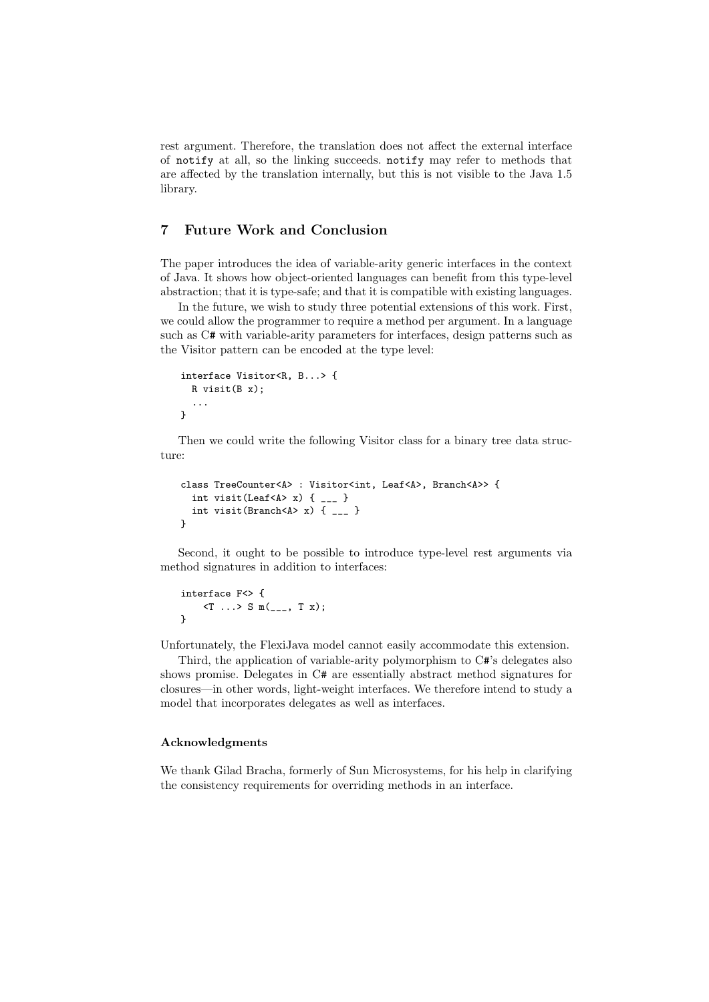rest argument. Therefore, the translation does not affect the external interface of notify at all, so the linking succeeds. notify may refer to methods that are affected by the translation internally, but this is not visible to the Java 1.5 library.

# 7 Future Work and Conclusion

The paper introduces the idea of variable-arity generic interfaces in the context of Java. It shows how object-oriented languages can benefit from this type-level abstraction; that it is type-safe; and that it is compatible with existing languages.

In the future, we wish to study three potential extensions of this work. First, we could allow the programmer to require a method per argument. In a language such as C# with variable-arity parameters for interfaces, design patterns such as the Visitor pattern can be encoded at the type level:

```
interface Visitor<R, B...> {
 R visit(B x);
  ...
}
```
Then we could write the following Visitor class for a binary tree data structure:

```
class TreeCounter<A> : Visitor<int, Leaf<A>, Branch<A>> {
  int visit(Leaf<A> x) { _{---} }
  int visit(Branch<A> x) { _{---} }
}
```
Second, it ought to be possible to introduce type-level rest arguments via method signatures in addition to interfaces:

interface F<> {  $\langle T \ldots \rangle$  S m(\_\_\_, T x); }

Unfortunately, the FlexiJava model cannot easily accommodate this extension.

Third, the application of variable-arity polymorphism to C#'s delegates also shows promise. Delegates in C# are essentially abstract method signatures for closures—in other words, light-weight interfaces. We therefore intend to study a model that incorporates delegates as well as interfaces.

#### Acknowledgments

We thank Gilad Bracha, formerly of Sun Microsystems, for his help in clarifying the consistency requirements for overriding methods in an interface.